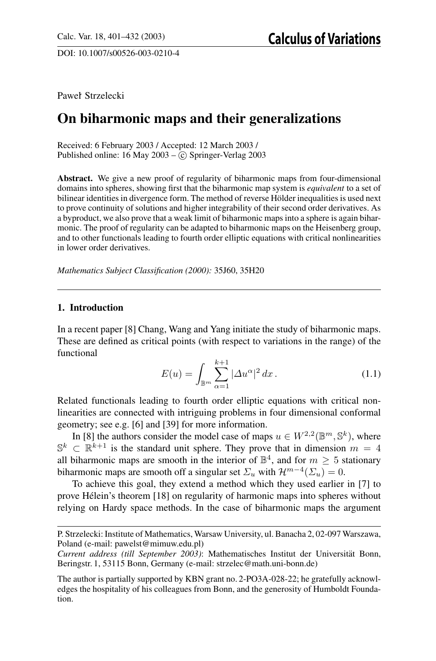DOI: 10.1007/s00526-003-0210-4

Pawel´ Strzelecki

# **On biharmonic maps and their generalizations**

Received: 6 February 2003 / Accepted: 12 March 2003 / Published online:  $16$  May  $2003 - C$  Springer-Verlag  $2003$ 

**Abstract.** We give a new proof of regularity of biharmonic maps from four-dimensional domains into spheres, showing first that the biharmonic map system is *equivalent* to a set of bilinear identities in divergence form. The method of reverse Hölder inequalities is used next to prove continuity of solutions and higher integrability of their second order derivatives. As a byproduct, we also prove that a weak limit of biharmonic maps into a sphere is again biharmonic. The proof of regularity can be adapted to biharmonic maps on the Heisenberg group, and to other functionals leading to fourth order elliptic equations with critical nonlinearities in lower order derivatives.

*Mathematics Subject Classification (2000):* 35J60, 35H20

# **1. Introduction**

In a recent paper [8] Chang, Wang and Yang initiate the study of biharmonic maps. These are defined as critical points (with respect to variations in the range) of the functional

$$
E(u) = \int_{\mathbb{B}^m} \sum_{\alpha=1}^{k+1} |\Delta u^{\alpha}|^2 dx.
$$
 (1.1)

Related functionals leading to fourth order elliptic equations with critical nonlinearities are connected with intriguing problems in four dimensional conformal geometry; see e.g. [6] and [39] for more information.

In [8] the authors consider the model case of maps  $u \in W^{2,2}(\mathbb{B}^m, \mathbb{S}^k)$ , where  $\mathbb{S}^k \subset \mathbb{R}^{k+1}$  is the standard unit sphere. They prove that in dimension  $m = 4$ all biharmonic maps are smooth in the interior of  $\mathbb{B}^4$ , and for  $m \geq 5$  stationary biharmonic maps are smooth off a singular set  $\Sigma_u$  with  $\mathcal{H}^{m-4}(\Sigma_u)=0$ .

To achieve this goal, they extend a method which they used earlier in [7] to prove Helein's theorem [18] on regularity of harmonic maps into spheres without ´ relying on Hardy space methods. In the case of biharmonic maps the argument

P. Strzelecki: Institute of Mathematics, Warsaw University, ul. Banacha 2, 02-097 Warszawa, Poland (e-mail: pawelst@mimuw.edu.pl)

*Current address (till September 2003)*: Mathematisches Institut der Universitat Bonn, ¨ Beringstr. 1, 53115 Bonn, Germany (e-mail: strzelec@math.uni-bonn.de)

The author is partially supported by KBN grant no. 2-PO3A-028-22; he gratefully acknowledges the hospitality of his colleagues from Bonn, and the generosity of Humboldt Foundation.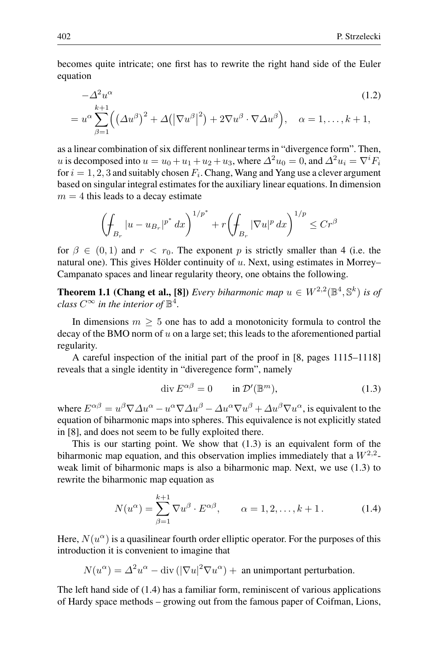becomes quite intricate; one first has to rewrite the right hand side of the Euler equation

$$
-\Delta^2 u^{\alpha} \tag{1.2}
$$

$$
=u^{\alpha}\sum_{\beta=1}^{k+1}\Bigl(\bigl(\Delta u^{\beta}\bigr)^{2}+\Delta\bigl(\bigl|\nabla u^{\beta}\bigr|^{2}\bigr)+2\nabla u^{\beta}\cdot\nabla\Delta u^{\beta}\Bigr), \quad \alpha=1,\ldots,k+1,
$$

as a linear combination of six different nonlinear terms in "divergence form". Then, u is decomposed into  $u = u_0 + u_1 + u_2 + u_3$ , where  $\Delta^2 u_0 = 0$ , and  $\Delta^2 u_i = \nabla^i F_i$ for  $i = 1, 2, 3$  and suitably chosen  $F_i$ . Chang, Wang and Yang use a clever argument based on singular integral estimates for the auxiliary linear equations. In dimension  $m = 4$  this leads to a decay estimate

$$
\left(\oint_{B_r} |u - u_{B_r}|^{p^*} dx\right)^{1/p^*} + r \left(\oint_{B_r} |\nabla u|^p dx\right)^{1/p} \le Cr^{\beta}
$$

for  $\beta \in (0,1)$  and  $r < r_0$ . The exponent p is strictly smaller than 4 (i.e. the natural one). This gives Hölder continuity of  $u$ . Next, using estimates in Morrey– Campanato spaces and linear regularity theory, one obtains the following.

**Theorem 1.1 (Chang et al., [8])** *Every biharmonic map*  $u \in W^{2,2}(\mathbb{B}^4, \mathbb{S}^k)$  *is of class*  $C^{\infty}$  *in the interior of*  $\mathbb{B}^{4}$ *.* 

In dimensions  $m \geq 5$  one has to add a monotonicity formula to control the decay of the BMO norm of  $u$  on a large set; this leads to the aforementioned partial regularity.

A careful inspection of the initial part of the proof in [8, pages 1115–1118] reveals that a single identity in "diveregence form", namely

$$
\operatorname{div} E^{\alpha\beta} = 0 \qquad \text{in } \mathcal{D}'(\mathbb{B}^m), \tag{1.3}
$$

where  $E^{\alpha\beta} = u^{\beta}\nabla\Delta u^{\alpha} - u^{\alpha}\nabla\Delta u^{\beta} - \Delta u^{\alpha}\nabla u^{\beta} + \Delta u^{\beta}\nabla u^{\alpha}$ , is equivalent to the equation of biharmonic maps into spheres. This equivalence is not explicitly stated in [8], and does not seem to be fully exploited there.

This is our starting point. We show that  $(1.3)$  is an equivalent form of the biharmonic map equation, and this observation implies immediately that a  $W^{2,2}$ weak limit of biharmonic maps is also a biharmonic map. Next, we use (1.3) to rewrite the biharmonic map equation as

$$
N(u^{\alpha}) = \sum_{\beta=1}^{k+1} \nabla u^{\beta} \cdot E^{\alpha \beta}, \qquad \alpha = 1, 2, \dots, k+1.
$$
 (1.4)

Here,  $N(u^{\alpha})$  is a quasilinear fourth order elliptic operator. For the purposes of this introduction it is convenient to imagine that

$$
N(u^{\alpha}) = \Delta^2 u^{\alpha} - \text{div} \left( |\nabla u|^2 \nabla u^{\alpha} \right) + \text{ an unimportant perturbation.}
$$

The left hand side of (1.4) has a familiar form, reminiscent of various applications of Hardy space methods – growing out from the famous paper of Coifman, Lions,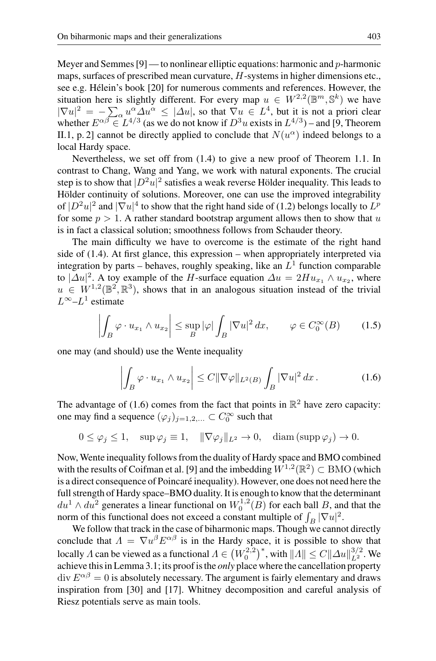Meyer and Semmes  $[9]$  — to nonlinear elliptic equations: harmonic and p-harmonic maps, surfaces of prescribed mean curvature, H-systems in higher dimensions etc., see e.g. Hélein's book [20] for numerous comments and references. However, the situation here is slightly different. For every map  $u \in W^{2,2}(\mathbb{B}^m, \mathbb{S}^k)$  we have  $|\nabla u|^2 = -\sum_{\alpha} u^{\alpha} \Delta u^{\alpha} \leq |\Delta u|$ , so that  $\nabla u \in L^4$ , but it is not a priori clear whether  $E^{\alpha\beta} \in L^{4/3}$  (as we do not know if  $D^3u$  exists in  $L^{4/3}$ ) – and [9, Theorem II.1, p. 2] cannot be directly applied to conclude that  $N(u^{\alpha})$  indeed belongs to a local Hardy space.

Nevertheless, we set off from (1.4) to give a new proof of Theorem 1.1. In contrast to Chang, Wang and Yang, we work with natural exponents. The crucial step is to show that  $|D^2u|^2$  satisfies a weak reverse Hölder inequality. This leads to Hölder continuity of solutions. Moreover, one can use the improved integrability of  $|D^2u|^2$  and  $|\nabla u|^4$  to show that the right hand side of (1.2) belongs locally to  $L^p$ for some  $p > 1$ . A rather standard bootstrap argument allows then to show that u is in fact a classical solution; smoothness follows from Schauder theory.

The main difficulty we have to overcome is the estimate of the right hand side of (1.4). At first glance, this expression – when appropriately interpreted via integration by parts – behaves, roughly speaking, like an  $L<sup>1</sup>$  function comparable to  $|\Delta u|^2$ . A toy example of the H-surface equation  $\Delta u = 2Hu_{x_1} \wedge u_{x_2}$ , where  $u \in W^{1,2}(\mathbb{B}^2, \mathbb{R}^3)$ , shows that in an analogous situation instead of the trivial  $L^{\infty}$ – $L^1$  estimate

$$
\left| \int_{B} \varphi \cdot u_{x_1} \wedge u_{x_2} \right| \leq \sup_{B} |\varphi| \int_{B} |\nabla u|^2 dx, \qquad \varphi \in C_0^{\infty}(B) \tag{1.5}
$$

one may (and should) use the Wente inequality

$$
\left| \int_B \varphi \cdot u_{x_1} \wedge u_{x_2} \right| \leq C \|\nabla \varphi\|_{L^2(B)} \int_B |\nabla u|^2 dx. \tag{1.6}
$$

The advantage of (1.6) comes from the fact that points in  $\mathbb{R}^2$  have zero capacity: one may find a sequence  $(\varphi_j)_{j=1,2,...} \subset C_0^{\infty}$  such that

$$
0 \le \varphi_j \le 1, \quad \sup \varphi_j \equiv 1, \quad \|\nabla \varphi_j\|_{L^2} \to 0, \quad \text{diam}(\text{supp}\,\varphi_j) \to 0.
$$

Now, Wente inequality follows from the duality of Hardy space and BMO combined with the results of Coifman et al. [9] and the imbedding  $W^{1,2}(\mathbb{R}^2) \subset BMO$  (which is a direct consequence of Poincaré inequality). However, one does not need here the full strength of Hardy space–BMO duality. It is enough to know that the determinant  $du^1 \wedge du^2$  generates a linear functional on  $W_0^{1,2}(B)$  for each ball B, and that the norm of this functional does not exceed a constant multiple of  $\int_B |\nabla u|^2$ .

We follow that track in the case of biharmonic maps. Though we cannot directly conclude that  $\Lambda = \nabla u^{\beta} E^{\alpha \beta}$  is in the Hardy space, it is possible to show that locally  $\Lambda$  can be viewed as a functional  $\Lambda \in (W_0^{2,2})^*$ , with  $||\Lambda|| \leq C ||\Delta u||_{L^2}^{3/2}$ . We achieve this in Lemma 3.1; its proof is the *only* place where the cancellation property  $\text{div } E^{\alpha\beta} = 0$  is absolutely necessary. The argument is fairly elementary and draws inspiration from [30] and [17]. Whitney decomposition and careful analysis of Riesz potentials serve as main tools.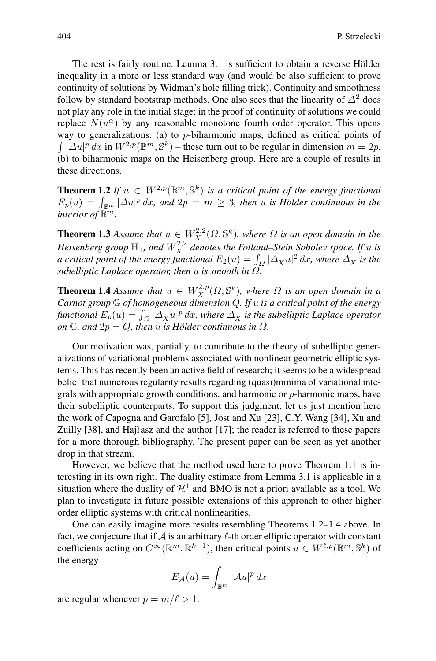The rest is fairly routine. Lemma 3.1 is sufficient to obtain a reverse Hölder inequality in a more or less standard way (and would be also sufficient to prove continuity of solutions by Widman's hole filling trick). Continuity and smoothness follow by standard bootstrap methods. One also sees that the linearity of  $\Delta^2$  does not play any role in the initial stage: in the proof of continuity of solutions we could replace  $N(u^{\alpha})$  by any reasonable monotone fourth order operator. This opens way to generalizations: (a) to  $p$ -biharmonic maps, defined as critical points of  $\int |\Delta u|^p dx$  in  $W^{2,p}(\mathbb{B}^m,\mathbb{S}^k)$  – these turn out to be regular in dimension  $m=2p$ , (b) to biharmonic maps on the Heisenberg group. Here are a couple of results in these directions.

**Theorem 1.2** *If*  $u \in W^{2,p}(\mathbb{B}^m, \mathbb{S}^k)$  *is a critical point of the energy functional*  $E_p(u) = \int_{\mathbb{B}^m} |\Delta u|^p dx$ , and  $2p = m \geq 3$ , then *u* is Hölder continuous in the *interior* of  $\mathbb{B}^m$ *.* 

**Theorem 1.3** *Assume that*  $u \in W_X^{2,2}(\Omega, \mathbb{S}^k)$ *, where*  $\Omega$  *is an open domain in the* Heisenberg group  $\mathbb{H}_1$ , and  $W_X^{2,2}$  denotes the Folland–Stein Sobolev space. If  $u$  is *a critical point of the energy functional*  $E_2(u) = \int_{\Omega} |\Delta_X u|^2 dx$ , where  $\Delta_X$  is the *subelliptic Laplace operator, then* u *is smooth in* Ω*.*

**Theorem 1.4** *Assume that*  $u \in W_X^{2,p}(\Omega, \mathbb{S}^k)$ , where  $\Omega$  is an open domain in a *Carnot group* G *of homogeneous dimension* Q*. If* u *is a critical point of the energy functional*  $E_p(u) = \int_{\Omega} |\Delta_X u|^p dx$ , where  $\Delta_X$  *is the subelliptic Laplace operator on*  $\mathbb{G}$ *, and*  $2p = Q$ *, then u is Hölder continuous in*  $\Omega$ *.* 

Our motivation was, partially, to contribute to the theory of subelliptic generalizations of variational problems associated with nonlinear geometric elliptic systems. This has recently been an active field of research; it seems to be a widespread belief that numerous regularity results regarding (quasi)minima of variational integrals with appropriate growth conditions, and harmonic or  $p$ -harmonic maps, have their subelliptic counterparts. To support this judgment, let us just mention here the work of Capogna and Garofalo [5], Jost and Xu [23], C.Y. Wang [34], Xu and Zuilly  $[38]$ , and Hajrasz and the author  $[17]$ ; the reader is referred to these papers for a more thorough bibliography. The present paper can be seen as yet another drop in that stream.

However, we believe that the method used here to prove Theorem 1.1 is interesting in its own right. The duality estimate from Lemma 3.1 is applicable in a situation where the duality of  $\mathcal{H}^1$  and BMO is not a priori available as a tool. We plan to investigate in future possible extensions of this approach to other higher order elliptic systems with critical nonlinearities.

One can easily imagine more results resembling Theorems 1.2–1.4 above. In fact, we conjecture that if  $A$  is an arbitrary  $\ell$ -th order elliptic operator with constant coefficients acting on  $C^{\infty}(\mathbb{R}^m,\mathbb{R}^{k+1})$ , then critical points  $u \in W^{\ell,p}(\mathbb{B}^m,\mathbb{S}^k)$  of the energy

$$
E_{\mathcal{A}}(u) = \int_{\mathbb{B}^m} |\mathcal{A}u|^p \, dx
$$

are regular whenever  $p = m/\ell > 1$ .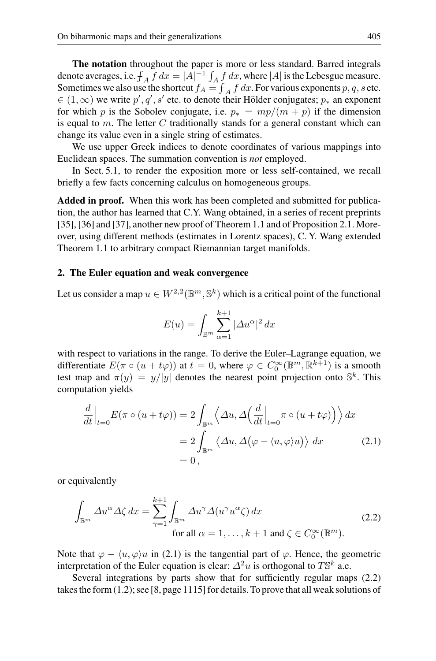**The notation** throughout the paper is more or less standard. Barred integrals denote averages, i.e.  $f_A f dx = |A|^{-1} \int_A f dx$ , where |A| is the Lebesgue measure. Sometimes we also use the shortcut  $f_A = \int_A f dx$ . For various exponents p, q, s etc.  $\in (1,\infty)$  we write  $p', q', s'$  etc. to denote their Hölder conjugates;  $p_*$  an exponent for which p is the Sobolev conjugate, i.e.  $p_* = mp/(m + p)$  if the dimension is equal to  $m$ . The letter  $C$  traditionally stands for a general constant which can change its value even in a single string of estimates.

We use upper Greek indices to denote coordinates of various mappings into Euclidean spaces. The summation convention is *not* employed.

In Sect. 5.1, to render the exposition more or less self-contained, we recall briefly a few facts concerning calculus on homogeneous groups.

**Added in proof.** When this work has been completed and submitted for publication, the author has learned that C.Y. Wang obtained, in a series of recent preprints [35], [36] and [37], another new proof of Theorem 1.1 and of Proposition 2.1. Moreover, using different methods (estimates in Lorentz spaces), C. Y. Wang extended Theorem 1.1 to arbitrary compact Riemannian target manifolds.

#### **2. The Euler equation and weak convergence**

Let us consider a map  $u \in W^{2,2}(\mathbb{B}^m,\mathbb{S}^k)$  which is a critical point of the functional

$$
E(u) = \int_{\mathbb{B}^m} \sum_{\alpha=1}^{k+1} |\Delta u^{\alpha}|^2 dx
$$

with respect to variations in the range. To derive the Euler–Lagrange equation, we differentiate  $E(\pi \circ (u + t\varphi))$  at  $t = 0$ , where  $\varphi \in C_0^{\infty}(\mathbb{B}^m, \mathbb{R}^{k+1})$  is a smooth test map and  $\pi(y) = y/|y|$  denotes the nearest point projection onto  $\mathbb{S}^k$ . This computation yields

$$
\frac{d}{dt}\Big|_{t=0} E(\pi \circ (u + t\varphi)) = 2 \int_{\mathbb{B}^m} \left\langle \Delta u, \Delta \Big(\frac{d}{dt}\Big|_{t=0} \pi \circ (u + t\varphi) \Big) \right\rangle dx
$$

$$
= 2 \int_{\mathbb{B}^m} \left\langle \Delta u, \Delta \Big(\varphi - \langle u, \varphi \rangle u \Big) \right\rangle dx \tag{2.1}
$$

$$
= 0,
$$

or equivalently

$$
\int_{\mathbb{B}^m} \Delta u^{\alpha} \Delta \zeta \, dx = \sum_{\gamma=1}^{k+1} \int_{\mathbb{B}^m} \Delta u^{\gamma} \Delta (u^{\gamma} u^{\alpha} \zeta) \, dx
$$
\nfor all  $\alpha = 1, \ldots, k+1$  and  $\zeta \in C_0^{\infty}(\mathbb{B}^m)$ .

\n(2.2)

Note that  $\varphi - \langle u, \varphi \rangle u$  in (2.1) is the tangential part of  $\varphi$ . Hence, the geometric interpretation of the Euler equation is clear:  $\Delta^2 u$  is orthogonal to  $T\mathbb{S}^k$  a.e.

Several integrations by parts show that for sufficiently regular maps (2.2) takes the form (1.2); see [8, page 1115] for details. To prove that all weak solutions of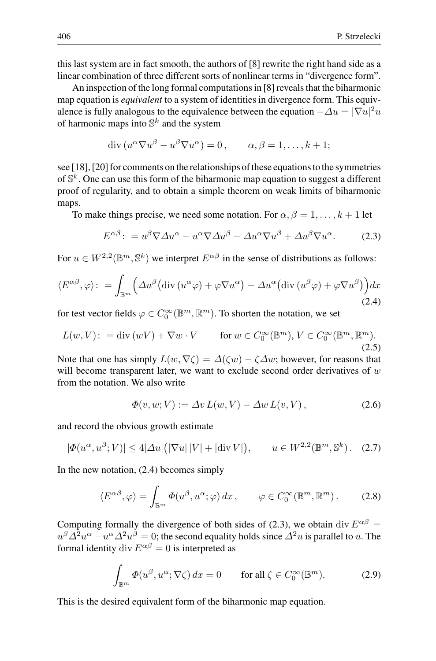this last system are in fact smooth, the authors of [8] rewrite the right hand side as a linear combination of three different sorts of nonlinear terms in "divergence form".

An inspection of the long formal computations in [8] reveals that the biharmonic map equation is *equivalent* to a system of identities in divergence form. This equivalence is fully analogous to the equivalence between the equation  $-\Delta u = |\nabla u|^2 u$ of harmonic maps into  $\mathbb{S}^k$  and the system

$$
\operatorname{div}\left(u^{\alpha}\nabla u^{\beta} - u^{\beta}\nabla u^{\alpha}\right) = 0, \qquad \alpha, \beta = 1, \dots, k+1;
$$

see [18], [20] for comments on the relationships of these equations to the symmetries of  $\mathbb{S}^k$ . One can use this form of the biharmonic map equation to suggest a different proof of regularity, and to obtain a simple theorem on weak limits of biharmonic maps.

To make things precise, we need some notation. For  $\alpha, \beta = 1, \ldots, k + 1$  let

$$
E^{\alpha\beta} \colon = u^{\beta} \nabla \Delta u^{\alpha} - u^{\alpha} \nabla \Delta u^{\beta} - \Delta u^{\alpha} \nabla u^{\beta} + \Delta u^{\beta} \nabla u^{\alpha}. \tag{2.3}
$$

For  $u \in W^{2,2}(\mathbb{B}^m,\mathbb{S}^k)$  we interpret  $E^{\alpha\beta}$  in the sense of distributions as follows:

$$
\langle E^{\alpha\beta}, \varphi \rangle : = \int_{\mathbb{B}^m} \left( \Delta u^{\beta} \big( \mathrm{div} \left( u^{\alpha} \varphi \right) + \varphi \nabla u^{\alpha} \big) - \Delta u^{\alpha} \big( \mathrm{div} \left( u^{\beta} \varphi \right) + \varphi \nabla u^{\beta} \big) \right) dx \tag{2.4}
$$

for test vector fields  $\varphi \in C_0^{\infty}(\mathbb{B}^m,\mathbb{R}^m)$ . To shorten the notation, we set

$$
L(w, V) : = \text{div}(wV) + \nabla w \cdot V \qquad \text{for } w \in C_0^{\infty}(\mathbb{B}^m), V \in C_0^{\infty}(\mathbb{B}^m, \mathbb{R}^m).
$$
\n(2.5)

Note that one has simply  $L(w, \nabla \zeta) = \Delta(\zeta w) - \zeta \Delta w$ ; however, for reasons that will become transparent later, we want to exclude second order derivatives of  $w$ from the notation. We also write

$$
\Phi(v, w; V) := \Delta v L(w, V) - \Delta w L(v, V), \qquad (2.6)
$$

and record the obvious growth estimate

$$
|\Phi(u^{\alpha}, u^{\beta}; V)| \le 4|\Delta u|(|\nabla u| |V| + |\text{div } V|), \qquad u \in W^{2,2}(\mathbb{B}^m, \mathbb{S}^k). \tag{2.7}
$$

In the new notation, (2.4) becomes simply

$$
\langle E^{\alpha\beta}, \varphi \rangle = \int_{\mathbb{B}^m} \varPhi(u^{\beta}, u^{\alpha}; \varphi) \, dx \,, \qquad \varphi \in C_0^{\infty}(\mathbb{B}^m, \mathbb{R}^m) \,. \tag{2.8}
$$

Computing formally the divergence of both sides of (2.3), we obtain div  $E^{\alpha\beta}$  =  $u^{\beta}\Delta^2 u^{\alpha} - u^{\alpha}\Delta^2 u^{\beta} = 0$ ; the second equality holds since  $\Delta^2 u$  is parallel to u. The formal identity div  $E^{\alpha\beta} = 0$  is interpreted as

$$
\int_{\mathbb{B}^m} \Phi(u^{\beta}, u^{\alpha}; \nabla \zeta) dx = 0 \quad \text{for all } \zeta \in C_0^{\infty}(\mathbb{B}^m). \tag{2.9}
$$

This is the desired equivalent form of the biharmonic map equation.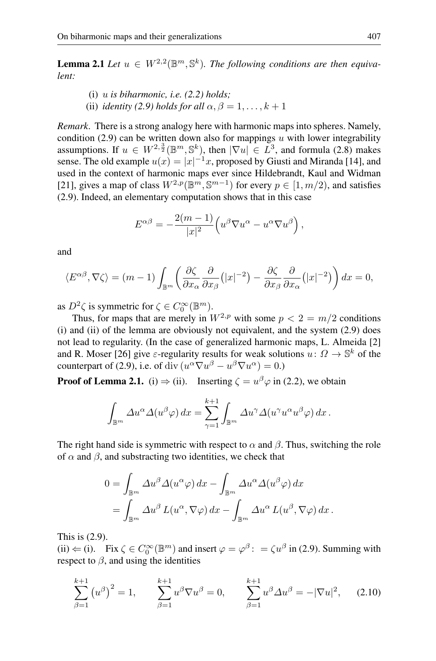**Lemma 2.1** *Let*  $u \in W^{2,2}(\mathbb{B}^m, \mathbb{S}^k)$ . The following conditions are then equiva*lent:*

(i) u *is biharmonic, i.e. (2.2) holds;* (ii) *identity (2.9)* holds for all  $\alpha$ ,  $\beta = 1, \ldots, k + 1$ 

*Remark*. There is a strong analogy here with harmonic maps into spheres. Namely, condition (2.9) can be written down also for mappings u with lower integrability assumptions. If  $u \in W^{2, \frac{3}{2}}(\mathbb{B}^m, \mathbb{S}^k)$ , then  $|\nabla u| \in L^3$ , and formula (2.8) makes sense. The old example  $u(x) = |x|^{-1}x$ , proposed by Giusti and Miranda [14], and used in the context of harmonic maps ever since Hildebrandt, Kaul and Widman [21], gives a map of class  $W^{2,p}(\mathbb{B}^m,\mathbb{S}^{m-1})$  for every  $p \in [1,m/2)$ , and satisfies (2.9). Indeed, an elementary computation shows that in this case

$$
E^{\alpha\beta} = -\frac{2(m-1)}{|x|^2} \Big( u^{\beta} \nabla u^{\alpha} - u^{\alpha} \nabla u^{\beta} \Big) \,,
$$

and

$$
\langle E^{\alpha\beta}, \nabla \zeta \rangle = (m-1) \int_{\mathbb{B}^m} \left( \frac{\partial \zeta}{\partial x_\alpha} \frac{\partial}{\partial x_\beta} (|x|^{-2}) - \frac{\partial \zeta}{\partial x_\beta} \frac{\partial}{\partial x_\alpha} (|x|^{-2}) \right) dx = 0,
$$

as  $D^2 \zeta$  is symmetric for  $\zeta \in C_0^{\infty}(\mathbb{B}^m)$ .

Thus, for maps that are merely in  $W^{2,p}$  with some  $p < 2 = m/2$  conditions (i) and (ii) of the lemma are obviously not equivalent, and the system (2.9) does not lead to regularity. (In the case of generalized harmonic maps, L. Almeida [2] and R. Moser [26] give  $\varepsilon$ -regularity results for weak solutions  $u: \Omega \to \mathbb{S}^k$  of the counterpart of (2.9), i.e. of div  $(u^{\alpha} \nabla u^{\beta} - u^{\beta} \nabla u^{\alpha}) = 0.$ 

**Proof of Lemma 2.1.** (i)  $\Rightarrow$  (ii). Inserting  $\zeta = u^{\beta} \varphi$  in (2.2), we obtain

$$
\int_{\mathbb{B}^m} \Delta u^{\alpha} \Delta(u^{\beta} \varphi) dx = \sum_{\gamma=1}^{k+1} \int_{\mathbb{B}^m} \Delta u^{\gamma} \Delta(u^{\gamma} u^{\alpha} u^{\beta} \varphi) dx.
$$

The right hand side is symmetric with respect to  $\alpha$  and  $\beta$ . Thus, switching the role of  $\alpha$  and  $\beta$ , and substracting two identities, we check that

$$
0 = \int_{\mathbb{B}^m} \Delta u^{\beta} \Delta (u^{\alpha} \varphi) dx - \int_{\mathbb{B}^m} \Delta u^{\alpha} \Delta (u^{\beta} \varphi) dx
$$
  
= 
$$
\int_{\mathbb{B}^m} \Delta u^{\beta} L(u^{\alpha}, \nabla \varphi) dx - \int_{\mathbb{B}^m} \Delta u^{\alpha} L(u^{\beta}, \nabla \varphi) dx.
$$

This is (2.9).

(ii)  $\Leftarrow$  (i). Fix  $\zeta \in C_0^{\infty}(\mathbb{B}^m)$  and insert  $\varphi = \varphi^{\beta}$ :  $\qquad \zeta u^{\beta}$  in (2.9). Summing with respect to  $\beta$ , and using the identities

$$
\sum_{\beta=1}^{k+1} (u^{\beta})^2 = 1, \qquad \sum_{\beta=1}^{k+1} u^{\beta} \nabla u^{\beta} = 0, \qquad \sum_{\beta=1}^{k+1} u^{\beta} \Delta u^{\beta} = -|\nabla u|^2, \qquad (2.10)
$$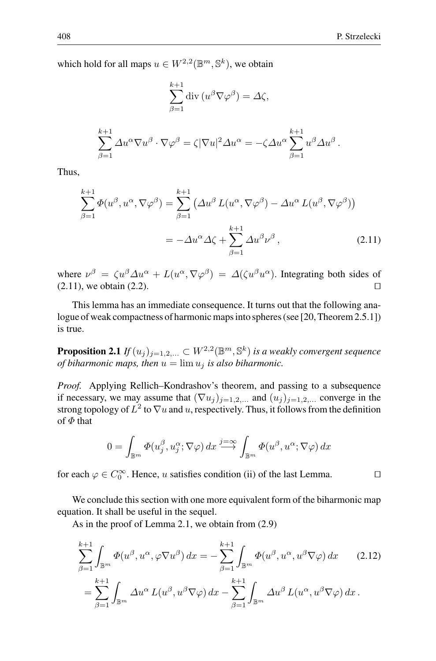which hold for all maps  $u \in W^{2,2}(\mathbb{B}^m, \mathbb{S}^k)$ , we obtain

$$
\sum_{\beta=1}^{k+1} \operatorname{div} (u^{\beta} \nabla \varphi^{\beta}) = \Delta \zeta,
$$
  

$$
\sum_{\beta=1}^{k+1} \Delta u^{\alpha} \nabla u^{\beta} \cdot \nabla \varphi^{\beta} = \zeta |\nabla u|^2 \Delta u^{\alpha} = -\zeta \Delta u^{\alpha} \sum_{\beta=1}^{k+1} u^{\beta} \Delta u^{\beta}.
$$

Thus,

$$
\sum_{\beta=1}^{k+1} \Phi(u^{\beta}, u^{\alpha}, \nabla \varphi^{\beta}) = \sum_{\beta=1}^{k+1} \left( \Delta u^{\beta} L(u^{\alpha}, \nabla \varphi^{\beta}) - \Delta u^{\alpha} L(u^{\beta}, \nabla \varphi^{\beta}) \right)
$$

$$
= -\Delta u^{\alpha} \Delta \zeta + \sum_{\beta=1}^{k+1} \Delta u^{\beta} \nu^{\beta}, \qquad (2.11)
$$

where  $\nu^{\beta} = \zeta u^{\beta} \Delta u^{\alpha} + L(u^{\alpha}, \nabla \varphi^{\beta}) = \Delta(\zeta u^{\beta} u^{\alpha})$ . Integrating both sides of  $(2.11)$ , we obtain  $(2.2)$ .

This lemma has an immediate consequence. It turns out that the following analogue of weak compactness of harmonic maps into spheres (see [20, Theorem 2.5.1]) is true.

**Proposition 2.1** *If*  $(u_i)_{i=1,2,...} \subset W^{2,2}(\mathbb{B}^m,\mathbb{S}^k)$  *is a weakly convergent sequence of biharmonic maps, then*  $u = \lim u_i$  *is also biharmonic.* 

*Proof.* Applying Rellich–Kondrashov's theorem, and passing to a subsequence if necessary, we may assume that  $(\nabla u_j)_{j=1,2,...}$  and  $(u_j)_{j=1,2,...}$  converge in the strong topology of  $L^2$  to  $\nabla u$  and u, respectively. Thus, it follows from the definition of  $\Phi$  that

$$
0 = \int_{\mathbb{B}^m} \Phi(u_j^{\beta}, u_j^{\alpha}; \nabla \varphi) \, dx \xrightarrow{j = \infty} \int_{\mathbb{B}^m} \Phi(u^{\beta}, u^{\alpha}; \nabla \varphi) \, dx
$$

for each  $\varphi \in C_0^{\infty}$ . Hence, u satisfies condition (ii) of the last Lemma.

We conclude this section with one more equivalent form of the biharmonic map equation. It shall be useful in the sequel.

As in the proof of Lemma 2.1, we obtain from (2.9)

$$
\sum_{\beta=1}^{k+1} \int_{\mathbb{B}^m} \Phi(u^{\beta}, u^{\alpha}, \varphi \nabla u^{\beta}) dx = -\sum_{\beta=1}^{k+1} \int_{\mathbb{B}^m} \Phi(u^{\beta}, u^{\alpha}, u^{\beta} \nabla \varphi) dx \qquad (2.12)
$$

$$
= \sum_{\beta=1}^{k+1} \int_{\mathbb{B}^m} \Delta u^{\alpha} L(u^{\beta}, u^{\beta} \nabla \varphi) dx - \sum_{\beta=1}^{k+1} \int_{\mathbb{B}^m} \Delta u^{\beta} L(u^{\alpha}, u^{\beta} \nabla \varphi) dx.
$$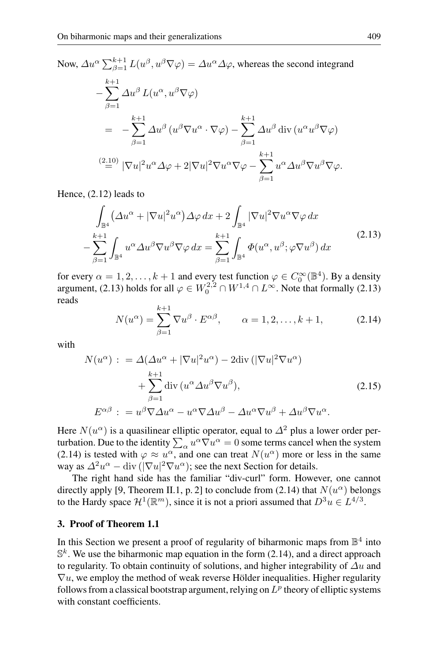Now,  $\Delta u^{\alpha} \sum_{\beta=1}^{k+1} L(u^{\beta}, u^{\beta} \nabla \varphi) = \Delta u^{\alpha} \Delta \varphi$ , whereas the second integrand

$$
-\sum_{\beta=1}^{k+1} \Delta u^{\beta} L(u^{\alpha}, u^{\beta} \nabla \varphi)
$$
  
= 
$$
-\sum_{\beta=1}^{k+1} \Delta u^{\beta} (u^{\beta} \nabla u^{\alpha} \cdot \nabla \varphi) - \sum_{\beta=1}^{k+1} \Delta u^{\beta} \operatorname{div} (u^{\alpha} u^{\beta} \nabla \varphi)
$$
  

$$
\stackrel{(2.10)}{=} |\nabla u|^2 u^{\alpha} \Delta \varphi + 2|\nabla u|^2 \nabla u^{\alpha} \nabla \varphi - \sum_{\beta=1}^{k+1} u^{\alpha} \Delta u^{\beta} \nabla u^{\beta} \nabla \varphi.
$$

Hence, (2.12) leads to

$$
\int_{\mathbb{B}^4} \left( \Delta u^{\alpha} + |\nabla u|^2 u^{\alpha} \right) \Delta \varphi \, dx + 2 \int_{\mathbb{B}^4} |\nabla u|^2 \nabla u^{\alpha} \nabla \varphi \, dx \n- \sum_{\beta=1}^{k+1} \int_{\mathbb{B}^4} u^{\alpha} \Delta u^{\beta} \nabla u^{\beta} \nabla \varphi \, dx = \sum_{\beta=1}^{k+1} \int_{\mathbb{B}^4} \Phi(u^{\alpha}, u^{\beta}; \varphi \nabla u^{\beta}) \, dx
$$
\n(2.13)

for every  $\alpha = 1, 2, ..., k + 1$  and every test function  $\varphi \in C_0^{\infty}(\mathbb{B}^4)$ . By a density argument, (2.13) holds for all  $\varphi \in W_0^{2,2} \cap W^{1,4} \cap L^\infty$ . Note that formally (2.13) reads

$$
N(u^{\alpha}) = \sum_{\beta=1}^{k+1} \nabla u^{\beta} \cdot E^{\alpha \beta}, \qquad \alpha = 1, 2, \dots, k+1,
$$
 (2.14)

with

$$
N(u^{\alpha}) : = \Delta(\Delta u^{\alpha} + |\nabla u|^2 u^{\alpha}) - 2 \text{div} (|\nabla u|^2 \nabla u^{\alpha})
$$
  
+ 
$$
\sum_{\beta=1}^{k+1} \text{div} (u^{\alpha} \Delta u^{\beta} \nabla u^{\beta}), \qquad (2.15)
$$
  

$$
E^{\alpha\beta} : = u^{\beta} \nabla \Delta u^{\alpha} - u^{\alpha} \nabla \Delta u^{\beta} - \Delta u^{\alpha} \nabla u^{\beta} + \Delta u^{\beta} \nabla u^{\alpha}.
$$

Here  $N(u^{\alpha})$  is a quasilinear elliptic operator, equal to  $\Delta^2$  plus a lower order perturbation. Due to the identity  $\sum_{\alpha} u^{\alpha} \nabla u^{\alpha} = 0$  some terms cancel when the system (2.14) is tested with  $\varphi \approx u^{\alpha}$ , and one can treat  $N(u^{\alpha})$  more or less in the same way as  $\Delta^2 u^{\alpha} - \text{div} \left( |\nabla u|^2 \nabla u^{\alpha} \right)$ ; see the next Section for details.

The right hand side has the familiar "div-curl" form. However, one cannot directly apply [9, Theorem II.1, p. 2] to conclude from (2.14) that  $N(u^{\alpha})$  belongs to the Hardy space  $\mathcal{H}^1(\mathbb{R}^m)$ , since it is not a priori assumed that  $D^3u \in L^{4/3}$ .

# **3. Proof of Theorem 1.1**

In this Section we present a proof of regularity of biharmonic maps from  $\mathbb{B}^4$  into  $\mathbb{S}^k$ . We use the biharmonic map equation in the form (2.14), and a direct approach to regularity. To obtain continuity of solutions, and higher integrability of  $\Delta u$  and  $\nabla u$ , we employ the method of weak reverse Hölder inequalities. Higher regularity follows from a classical bootstrap argument, relying on  $L^p$  theory of elliptic systems with constant coefficients.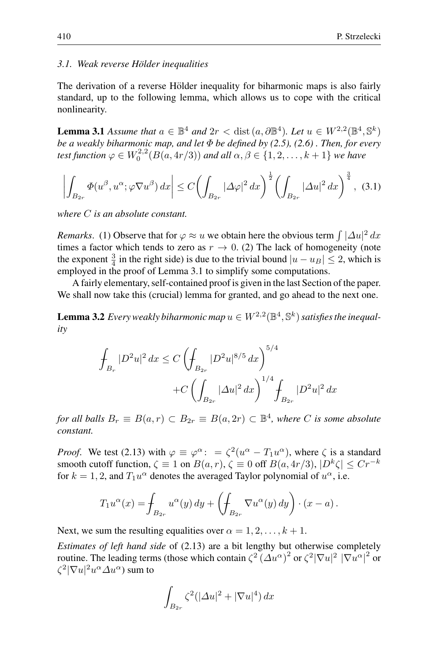## *3.1. Weak reverse Holder inequalities ¨*

The derivation of a reverse Hölder inequality for biharmonic maps is also fairly standard, up to the following lemma, which allows us to cope with the critical nonlinearity.

**Lemma 3.1** *Assume that*  $a \in \mathbb{B}^4$  *and*  $2r <$  dist  $(a, \partial \mathbb{B}^4)$ *. Let*  $u \in W^{2,2}(\mathbb{B}^4, \mathbb{S}^k)$ *be a weakly biharmonic map, and let* Φ *be defined by (2.5), (2.6) . Then, for every* test function  $\varphi \in W_0^{2,2}(B(a,4r/3))$  and all  $\alpha,\beta \in \{1,2,\ldots,k+1\}$  we have

$$
\left| \int_{B_{2r}} \Phi(u^{\beta}, u^{\alpha}; \varphi \nabla u^{\beta}) \, dx \right| \le C \left( \int_{B_{2r}} |\Delta \varphi|^2 \, dx \right)^{\frac{1}{2}} \left( \int_{B_{2r}} |\Delta u|^2 \, dx \right)^{\frac{3}{4}}, \tag{3.1}
$$

*where* C *is an absolute constant.*

*Remarks.* (1) Observe that for  $\varphi \approx u$  we obtain here the obvious term  $\int |\Delta u|^2 dx$ times a factor which tends to zero as  $r \to 0$ . (2) The lack of homogeneity (note the exponent  $\frac{3}{4}$  in the right side) is due to the trivial bound  $|u - u_B| \le 2$ , which is employed in the proof of Lemma 3.1 to simplify some computations.

A fairly elementary, self-contained proof is given in the last Section of the paper. We shall now take this (crucial) lemma for granted, and go ahead to the next one.

**Lemma 3.2** *Every weakly biharmonic map*  $u \in W^{2,2}(\mathbb{B}^4, \mathbb{S}^k)$  *satisfies the inequality*

$$
\int_{B_r} |D^2 u|^2 dx \le C \left( \int_{B_{2r}} |D^2 u|^{8/5} dx \right)^{5/4} \n+ C \left( \int_{B_{2r}} |\Delta u|^2 dx \right)^{1/4} \int_{B_{2r}} |D^2 u|^2 dx
$$

*for all balls*  $B_r \equiv B(a, r) \subset B_{2r} \equiv B(a, 2r) \subset \mathbb{B}^4$ , where C is some absolute *constant.*

*Proof.* We test (2.13) with  $\varphi \equiv \varphi^{\alpha}$ :  $= \zeta^2(u^{\alpha} - T_1u^{\alpha})$ , where  $\zeta$  is a standard smooth cutoff function,  $\zeta \equiv 1$  on  $B(a, r)$ ,  $\zeta \equiv 0$  off  $B(a, 4r/3)$ ,  $|D^k \zeta| \le Cr^{-k}$ for  $k = 1, 2$ , and  $T_1u^{\alpha}$  denotes the averaged Taylor polynomial of  $u^{\alpha}$ , i.e.

$$
T_1 u^{\alpha}(x) = \int_{B_{2r}} u^{\alpha}(y) dy + \left( \int_{B_{2r}} \nabla u^{\alpha}(y) dy \right) \cdot (x - a).
$$

Next, we sum the resulting equalities over  $\alpha = 1, 2, \ldots, k + 1$ .

*Estimates of left hand side* of (2.13) are a bit lengthy but otherwise completely routine. The leading terms (those which contain  $\zeta^2 (\Delta u^{\alpha})^2$  or  $\zeta^2 |\nabla u|^2 |\nabla u^{\alpha}|^2$  or  $\zeta^2|\nabla u|^2u^\alpha \varDelta u^\alpha)$  sum to

$$
\int_{B_{2r}} \zeta^2 (|\Delta u|^2 + |\nabla u|^4) \, dx
$$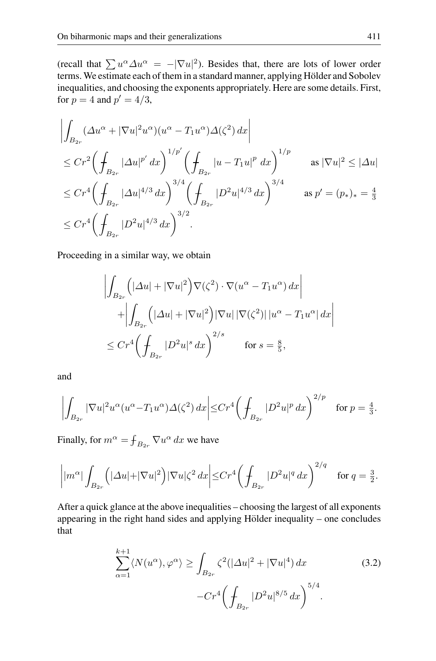(recall that  $\sum u^{\alpha} \Delta u^{\alpha} = -|\nabla u|^2$ ). Besides that, there are lots of lower order terms. We estimate each of them in a standard manner, applying Hölder and Sobolev inequalities, and choosing the exponents appropriately. Here are some details. First, for  $p = 4$  and  $p' = 4/3$ ,

$$
\left| \int_{B_{2r}} (\Delta u^{\alpha} + |\nabla u|^2 u^{\alpha}) (u^{\alpha} - T_1 u^{\alpha}) \Delta(\zeta^2) dx \right|
$$
  
\n
$$
\leq C r^2 \left( \int_{B_{2r}} |\Delta u|^{p'} dx \right)^{1/p'} \left( \int_{B_{2r}} |u - T_1 u|^p dx \right)^{1/p} \quad \text{as } |\nabla u|^2 \leq |\Delta u|
$$
  
\n
$$
\leq C r^4 \left( \int_{B_{2r}} |\Delta u|^{4/3} dx \right)^{3/4} \left( \int_{B_{2r}} |D^2 u|^{4/3} dx \right)^{3/4} \quad \text{as } p' = (p_*)_* = \frac{4}{3}
$$
  
\n
$$
\leq C r^4 \left( \int_{B_{2r}} |D^2 u|^{4/3} dx \right)^{3/2}.
$$

Proceeding in a similar way, we obtain

$$
\left| \int_{B_{2r}} \left( |\Delta u| + |\nabla u|^2 \right) \nabla (\zeta^2) \cdot \nabla (u^{\alpha} - T_1 u^{\alpha}) \, dx \right|
$$
  
+ 
$$
\left| \int_{B_{2r}} \left( |\Delta u| + |\nabla u|^2 \right) |\nabla u| \, |\nabla (\zeta^2)| \, |u^{\alpha} - T_1 u^{\alpha}| \, dx \right|
$$
  

$$
\leq C r^4 \left( \int_{B_{2r}} |D^2 u|^s \, dx \right)^{2/s} \qquad \text{for } s = \frac{8}{5},
$$

and

$$
\left| \int_{B_{2r}} |\nabla u|^2 u^{\alpha} (u^{\alpha} - T_1 u^{\alpha}) \Delta(\zeta^2) dx \right| \leq C r^4 \left( \int_{B_{2r}} |D^2 u|^p dx \right)^{2/p} \quad \text{for } p = \frac{4}{3}.
$$

Finally, for  $m^{\alpha} = \int_{B_{2r}} \nabla u^{\alpha} dx$  we have

$$
\left| |m^{\alpha}| \int_{B_{2r}} \left( |\Delta u| + |\nabla u|^2 \right) |\nabla u| \zeta^2 \, dx \right| \leq C r^4 \left( \int_{B_{2r}} |D^2 u|^q \, dx \right)^{2/q} \quad \text{for } q = \frac{3}{2}.
$$

After a quick glance at the above inequalities – choosing the largest of all exponents appearing in the right hand sides and applying Hölder inequality – one concludes that

$$
\sum_{\alpha=1}^{k+1} \langle N(u^{\alpha}), \varphi^{\alpha} \rangle \ge \int_{B_{2r}} \zeta^2 (|\Delta u|^2 + |\nabla u|^4) dx
$$
\n
$$
-Cr^4 \left( \int_{B_{2r}} |D^2 u|^{8/5} dx \right)^{5/4}.
$$
\n(3.2)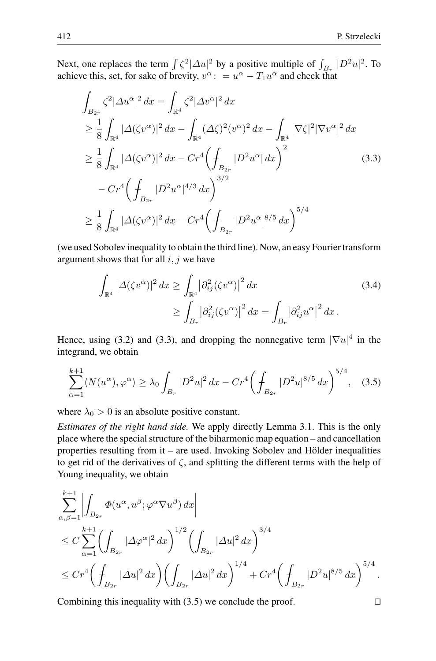Next, one replaces the term  $\int \zeta^2 |\Delta u|^2$  by a positive multiple of  $\int_{B_r} |D^2 u|^2$ . To achieve this, set, for sake of brevity,  $v^{\alpha}$ : =  $u^{\alpha} - T_1 u^{\alpha}$  and check that

$$
\int_{B_{2r}} \zeta^2 |\Delta u^{\alpha}|^2 dx = \int_{\mathbb{R}^4} \zeta^2 |\Delta v^{\alpha}|^2 dx
$$
\n
$$
\geq \frac{1}{8} \int_{\mathbb{R}^4} |\Delta(\zeta v^{\alpha})|^2 dx - \int_{\mathbb{R}^4} (\Delta \zeta)^2 (v^{\alpha})^2 dx - \int_{\mathbb{R}^4} |\nabla \zeta|^2 |\nabla v^{\alpha}|^2 dx
$$
\n
$$
\geq \frac{1}{8} \int_{\mathbb{R}^4} |\Delta(\zeta v^{\alpha})|^2 dx - Cr^4 \left( \int_{B_{2r}} |D^2 u^{\alpha}| dx \right)^2
$$
\n
$$
- Cr^4 \left( \int_{B_{2r}} |D^2 u^{\alpha}|^{4/3} dx \right)^{3/2}
$$
\n
$$
\geq \frac{1}{8} \int_{\mathbb{R}^4} |\Delta(\zeta v^{\alpha})|^2 dx - Cr^4 \left( \int_{B_{2r}} |D^2 u^{\alpha}|^{8/5} dx \right)^{5/4}
$$
\n(3.3)

(we used Sobolev inequality to obtain the third line). Now, an easy Fourier transform argument shows that for all  $i, j$  we have

$$
\int_{\mathbb{R}^4} |\Delta(\zeta v^{\alpha})|^2 dx \ge \int_{\mathbb{R}^4} |\partial_{ij}^2(\zeta v^{\alpha})|^2 dx
$$
\n
$$
\ge \int_{B_r} |\partial_{ij}^2(\zeta v^{\alpha})|^2 dx = \int_{B_r} |\partial_{ij}^2 u^{\alpha}|^2 dx.
$$
\n(3.4)

Hence, using (3.2) and (3.3), and dropping the nonnegative term  $|\nabla u|^4$  in the integrand, we obtain

$$
\sum_{\alpha=1}^{k+1} \langle N(u^{\alpha}), \varphi^{\alpha} \rangle \ge \lambda_0 \int_{B_r} |D^2 u|^2 \, dx - Cr^4 \bigg( \int_{B_{2r}} |D^2 u|^{8/5} \, dx \bigg)^{5/4}, \quad (3.5)
$$

where  $\lambda_0 > 0$  is an absolute positive constant.

*Estimates of the right hand side.* We apply directly Lemma 3.1. This is the only place where the special structure of the biharmonic map equation – and cancellation properties resulting from it – are used. Invoking Sobolev and Hölder inequalities to get rid of the derivatives of  $\zeta$ , and splitting the different terms with the help of Young inequality, we obtain

$$
\sum_{\alpha,\beta=1}^{k+1} \left| \int_{B_{2r}} \Phi(u^{\alpha}, u^{\beta}; \varphi^{\alpha} \nabla u^{\beta}) dx \right|
$$
  
\n
$$
\leq C \sum_{\alpha=1}^{k+1} \left( \int_{B_{2r}} |\Delta \varphi^{\alpha}|^{2} dx \right)^{1/2} \left( \int_{B_{2r}} |\Delta u|^{2} dx \right)^{3/4}
$$
  
\n
$$
\leq C r^{4} \left( \int_{B_{2r}} |\Delta u|^{2} dx \right) \left( \int_{B_{2r}} |\Delta u|^{2} dx \right)^{1/4} + C r^{4} \left( \int_{B_{2r}} |D^{2} u|^{8/5} dx \right)^{5/4}.
$$

Combining this inequality with  $(3.5)$  we conclude the proof.  $\Box$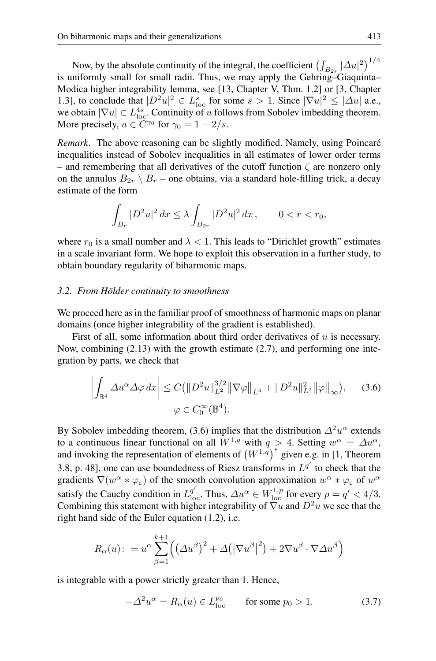Now, by the absolute continuity of the integral, the coefficient  $\left(\int_{B_{2r}} |\Delta u|^2\right)^{1/4}$ is uniformly small for small radii. Thus, we may apply the Gehring–Giaquinta– Modica higher integrability lemma, see [13, Chapter V, Thm. 1.2] or [3, Chapter 1.3], to conclude that  $|D^2u|^2 \in L^s_{\text{loc}}$  for some  $s > 1$ . Since  $|\nabla u|^2 \leq |\Delta u|$  a.e., we obtain  $|\nabla u| \in L^{4s}_{loc}$ . Continuity of u follows from Sobolev imbedding theorem. More precisely,  $u \in C^{\gamma_0}$  for  $\gamma_0 = 1 - 2/s$ .

*Remark.* The above reasoning can be slightly modified. Namely, using Poincaré inequalities instead of Sobolev inequalities in all estimates of lower order terms – and remembering that all derivatives of the cutoff function  $\zeta$  are nonzero only on the annulus  $B_{2r} \setminus B_r$  – one obtains, via a standard hole-filling trick, a decay estimate of the form

$$
\int_{B_r} |D^2 u|^2 \, dx \le \lambda \int_{B_{2r}} |D^2 u|^2 \, dx \,, \qquad 0 < r < r_0,
$$

where  $r_0$  is a small number and  $\lambda < 1$ . This leads to "Dirichlet growth" estimates in a scale invariant form. We hope to exploit this observation in a further study, to obtain boundary regularity of biharmonic maps.

#### *3.2. From Holder continuity to smoothness ¨*

We proceed here as in the familiar proof of smoothness of harmonic maps on planar domains (once higher integrability of the gradient is established).

First of all, some information about third order derivatives of  $u$  is necessary. Now, combining (2.13) with the growth estimate (2.7), and performing one integration by parts, we check that

$$
\left| \int_{\mathbb{B}^4} \Delta u^{\alpha} \Delta \varphi \, dx \right| \le C \left( \| D^2 u \|_{L^2}^{3/2} \| \nabla \varphi \|_{L^4} + \| D^2 u \|_{L^2}^2 \| \varphi \|_{\infty} \right), \quad (3.6)
$$

$$
\varphi \in C_0^{\infty}(\mathbb{B}^4).
$$

By Sobolev imbedding theorem, (3.6) implies that the distribution  $\Delta^2 u^{\alpha}$  extends to a continuous linear functional on all  $W^{1,q}$  with  $q > 4$ . Setting  $w^{\alpha} = \Delta u^{\alpha}$ , and invoking the representation of elements of  $(W^{1,q})^*$  given e.g. in [1, Theorem 3.8, p. 48], one can use boundedness of Riesz transforms in  $L^{q'}$  to check that the gradients  $\nabla(w^{\alpha} * \varphi_{\varepsilon})$  of the smooth convolution approximation  $w^{\alpha} * \varphi_{\varepsilon}$  of  $w^{\alpha}$ satisfy the Cauchy condition in  $L^{q'}_{\text{loc}}$ . Thus,  $\Delta u^{\alpha} \in W^{1,p}_{\text{loc}}$  for every  $p = q' < 4/3$ . Combining this statement with higher integrability of  $\nabla u$  and  $D^2 u$  we see that the right hand side of the Euler equation (1.2), i.e.

$$
R_{\alpha}(u): = u^{\alpha} \sum_{\beta=1}^{k+1} \left( \left( \Delta u^{\beta} \right)^{2} + \Delta \left( \left| \nabla u^{\beta} \right|^{2} \right) + 2 \nabla u^{\beta} \cdot \nabla \Delta u^{\beta} \right)
$$

is integrable with a power strictly greater than 1. Hence,

$$
-\Delta^2 u^\alpha = R_\alpha(u) \in L_{\text{loc}}^{p_0} \qquad \text{for some } p_0 > 1. \tag{3.7}
$$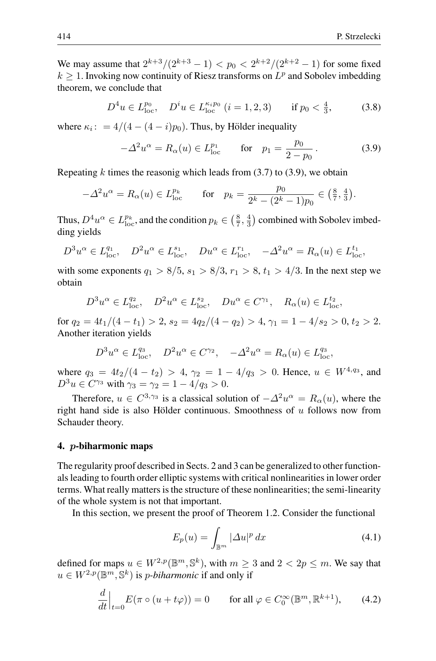We may assume that  $2^{k+3}/(2^{k+3}-1) < p_0 < 2^{k+2}/(2^{k+2}-1)$  for some fixed  $k \geq 1$ . Invoking now continuity of Riesz transforms on  $L^p$  and Sobolev imbedding theorem, we conclude that

$$
D^4 u \in L_{\text{loc}}^{p_0}, \quad D^i u \in L_{\text{loc}}^{\kappa_i p_0} \ (i = 1, 2, 3) \qquad \text{if } p_0 < \frac{4}{3}, \tag{3.8}
$$

where  $\kappa_i$ : = 4/(4 – (4 – i)p<sub>0</sub>). Thus, by Hölder inequality

$$
-\Delta^2 u^{\alpha} = R_{\alpha}(u) \in L_{\text{loc}}^{p_1} \quad \text{for} \quad p_1 = \frac{p_0}{2 - p_0}.
$$
 (3.9)

Repeating  $k$  times the reasonig which leads from (3.7) to (3.9), we obtain

$$
-\Delta^2 u^{\alpha} = R_{\alpha}(u) \in L_{\text{loc}}^{p_k} \quad \text{for} \quad p_k = \frac{p_0}{2^k - (2^k - 1)p_0} \in \left(\frac{8}{7}, \frac{4}{3}\right).
$$

Thus,  $D^4u^{\alpha} \in L_{loc}^{p_k}$ , and the condition  $p_k \in (\frac{8}{7}, \frac{4}{3})$  combined with Sobolev imbedding yields

$$
D^3 u^{\alpha} \in L_{loc}^{q_1}, \quad D^2 u^{\alpha} \in L_{loc}^{s_1}, \quad Du^{\alpha} \in L_{loc}^{r_1}, \quad -\Delta^2 u^{\alpha} = R_{\alpha}(u) \in L_{loc}^{t_1},
$$

with some exponents  $q_1 > 8/5$ ,  $s_1 > 8/3$ ,  $r_1 > 8$ ,  $t_1 > 4/3$ . In the next step we obtain

$$
D^3 u^{\alpha} \in L_{\text{loc}}^{q_2}, \quad D^2 u^{\alpha} \in L_{\text{loc}}^{s_2}, \quad Du^{\alpha} \in C^{\gamma_1}, \quad R_{\alpha}(u) \in L_{\text{loc}}^{t_2},
$$

for  $q_2 = 4t_1/(4-t_1) > 2$ ,  $s_2 = 4q_2/(4-q_2) > 4$ ,  $\gamma_1 = 1 - 4/s_2 > 0$ ,  $t_2 > 2$ . Another iteration yields

$$
D^3 u^{\alpha} \in L_{\text{loc}}^{q_3}, \quad D^2 u^{\alpha} \in C^{\gamma_2}, \quad -\Delta^2 u^{\alpha} = R_{\alpha}(u) \in L_{\text{loc}}^{q_3},
$$

where  $q_3 = 4t_2/(4-t_2) > 4$ ,  $\gamma_2 = 1 - 4/q_3 > 0$ . Hence,  $u \in W^{4,q_3}$ , and  $D^3u \in C^{\gamma_3}$  with  $\gamma_3 = \gamma_2 = 1 - 4/q_3 > 0$ .

Therefore,  $u \in C^{3,\gamma_3}$  is a classical solution of  $-\Delta^2 u^{\alpha} = R_{\alpha}(u)$ , where the right hand side is also Hölder continuous. Smoothness of  $u$  follows now from Schauder theory.

#### **4.** *p***-biharmonic maps**

The regularity proof described in Sects. 2 and 3 can be generalized to other functionals leading to fourth order elliptic systems with critical nonlinearities in lower order terms. What really matters is the structure of these nonlinearities; the semi-linearity of the whole system is not that important.

In this section, we present the proof of Theorem 1.2. Consider the functional

$$
E_p(u) = \int_{\mathbb{B}^m} |\Delta u|^p \, dx \tag{4.1}
$$

defined for maps  $u \in W^{2,p}(\mathbb{B}^m, \mathbb{S}^k)$ , with  $m \geq 3$  and  $2 < 2p \leq m$ . We say that  $u \in W^{2,p}(\mathbb{B}^m, \mathbb{S}^k)$  is *p-biharmonic* if and only if

$$
\frac{d}{dt}\Big|_{t=0} E(\pi \circ (u + t\varphi)) = 0 \quad \text{for all } \varphi \in C_0^{\infty}(\mathbb{B}^m, \mathbb{R}^{k+1}), \qquad (4.2)
$$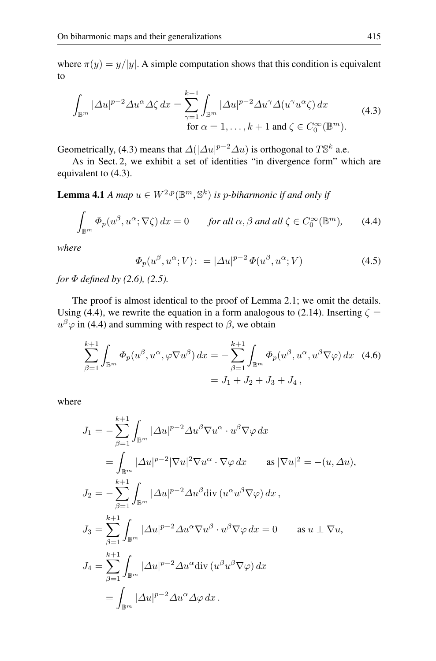where  $\pi(y) = y/|y|$ . A simple computation shows that this condition is equivalent to

$$
\int_{\mathbb{B}^m} |\Delta u|^{p-2} \Delta u^{\alpha} \Delta \zeta \, dx = \sum_{\gamma=1}^{k+1} \int_{\mathbb{B}^m} |\Delta u|^{p-2} \Delta u^{\gamma} \Delta (u^{\gamma} u^{\alpha} \zeta) \, dx
$$
\n
$$
\text{for } \alpha = 1, \dots, k+1 \text{ and } \zeta \in C_0^{\infty}(\mathbb{B}^m).
$$
\n(4.3)

Geometrically, (4.3) means that  $\Delta(|\Delta u|^{p-2}\Delta u)$  is orthogonal to  $T\mathbb{S}^k$  a.e.

As in Sect. 2, we exhibit a set of identities "in divergence form" which are equivalent to (4.3).

**Lemma 4.1** *A map*  $u \in W^{2,p}(\mathbb{B}^m, \mathbb{S}^k)$  *is p-biharmonic if and only if* 

$$
\int_{\mathbb{B}^m} \Phi_p(u^{\beta}, u^{\alpha}; \nabla \zeta) dx = 0 \quad \text{for all } \alpha, \beta \text{ and all } \zeta \in C_0^{\infty}(\mathbb{B}^m), \qquad (4.4)
$$

*where*

$$
\Phi_p(u^{\beta}, u^{\alpha}; V) := |\Delta u|^{p-2} \Phi(u^{\beta}, u^{\alpha}; V) \tag{4.5}
$$

*for* Φ *defined by (2.6), (2.5).*

The proof is almost identical to the proof of Lemma 2.1; we omit the details. Using (4.4), we rewrite the equation in a form analogous to (2.14). Inserting  $\zeta =$  $u^{\beta} \varphi$  in (4.4) and summing with respect to  $\beta$ , we obtain

$$
\sum_{\beta=1}^{k+1} \int_{\mathbb{B}^m} \Phi_p(u^{\beta}, u^{\alpha}, \varphi \nabla u^{\beta}) dx = -\sum_{\beta=1}^{k+1} \int_{\mathbb{B}^m} \Phi_p(u^{\beta}, u^{\alpha}, u^{\beta} \nabla \varphi) dx \quad (4.6)
$$
  
=  $J_1 + J_2 + J_3 + J_4$ ,

where

$$
J_1 = -\sum_{\beta=1}^{k+1} \int_{\mathbb{B}^m} |\Delta u|^{p-2} \Delta u^{\beta} \nabla u^{\alpha} \cdot u^{\beta} \nabla \varphi \, dx
$$
  
\n
$$
= \int_{\mathbb{B}^m} |\Delta u|^{p-2} |\nabla u|^2 \nabla u^{\alpha} \cdot \nabla \varphi \, dx \quad \text{as } |\nabla u|^2 = -(u, \Delta u),
$$
  
\n
$$
J_2 = -\sum_{\beta=1}^{k+1} \int_{\mathbb{B}^m} |\Delta u|^{p-2} \Delta u^{\beta} \text{div} (u^{\alpha} u^{\beta} \nabla \varphi) \, dx,
$$
  
\n
$$
J_3 = \sum_{\beta=1}^{k+1} \int_{\mathbb{B}^m} |\Delta u|^{p-2} \Delta u^{\alpha} \nabla u^{\beta} \cdot u^{\beta} \nabla \varphi \, dx = 0 \quad \text{as } u \perp \nabla u,
$$
  
\n
$$
J_4 = \sum_{\beta=1}^{k+1} \int_{\mathbb{B}^m} |\Delta u|^{p-2} \Delta u^{\alpha} \text{div} (u^{\beta} u^{\beta} \nabla \varphi) \, dx
$$
  
\n
$$
= \int_{\mathbb{B}^m} |\Delta u|^{p-2} \Delta u^{\alpha} \Delta \varphi \, dx.
$$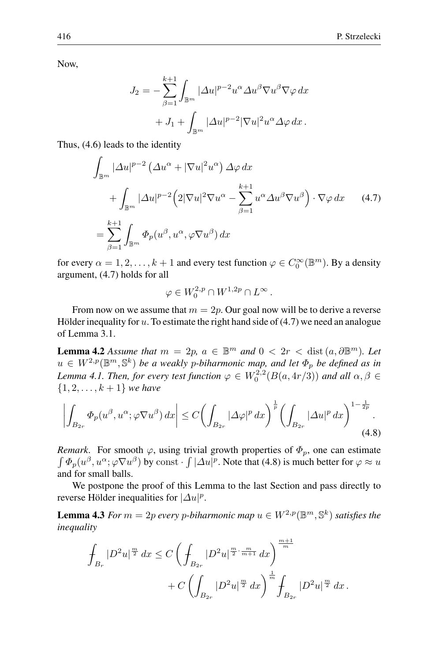Now,

$$
J_2 = -\sum_{\beta=1}^{k+1} \int_{\mathbb{B}^m} |\Delta u|^{p-2} u^{\alpha} \Delta u^{\beta} \nabla u^{\beta} \nabla \varphi \, dx
$$

$$
+ J_1 + \int_{\mathbb{B}^m} |\Delta u|^{p-2} |\nabla u|^2 u^{\alpha} \Delta \varphi \, dx.
$$

Thus, (4.6) leads to the identity

$$
\int_{\mathbb{B}^m} |\Delta u|^{p-2} \left(\Delta u^{\alpha} + |\nabla u|^2 u^{\alpha}\right) \Delta \varphi \, dx \n+ \int_{\mathbb{B}^m} |\Delta u|^{p-2} \left(2|\nabla u|^2 \nabla u^{\alpha} - \sum_{\beta=1}^{k+1} u^{\alpha} \Delta u^{\beta} \nabla u^{\beta}\right) \cdot \nabla \varphi \, dx \qquad (4.7)
$$
\n
$$
= \sum_{\beta=1}^{k+1} \int_{\mathbb{B}^m} \Phi_p(u^{\beta}, u^{\alpha}, \varphi \nabla u^{\beta}) \, dx
$$

for every  $\alpha = 1, 2, ..., k + 1$  and every test function  $\varphi \in C_0^{\infty}(\mathbb{B}^m)$ . By a density argument, (4.7) holds for all

$$
\varphi \in W_0^{2,p} \cap W^{1,2p} \cap L^{\infty}.
$$

From now on we assume that  $m = 2p$ . Our goal now will be to derive a reverse Hölder inequality for  $u$ . To estimate the right hand side of  $(4.7)$  we need an analogue of Lemma 3.1.

**Lemma 4.2** *Assume that*  $m = 2p$ ,  $a \in \mathbb{B}^m$  *and*  $0 < 2r <$  dist  $(a, \partial \mathbb{B}^m)$ *. Let*  $u \in W^{2,p}(\mathbb{B}^m, \mathbb{S}^k)$  *be a weakly p-biharmonic map, and let*  $\Phi_p$  *be defined as in* Lemma 4.1. Then, for every test function  $\varphi \in W_0^{2,2}(B(a, 4r/3))$  and all  $\alpha, \beta \in$  $\{1, 2, \ldots, k + 1\}$  *we have* 

$$
\left| \int_{B_{2r}} \Phi_p(u^{\beta}, u^{\alpha}; \varphi \nabla u^{\beta}) \, dx \right| \le C \left( \int_{B_{2r}} |\Delta \varphi|^p \, dx \right)^{\frac{1}{p}} \left( \int_{B_{2r}} |\Delta u|^p \, dx \right)^{1 - \frac{1}{2p}}.
$$
\n
$$
(4.8)
$$

*Remark*. For smooth  $\varphi$ , using trivial growth properties of  $\Phi_p$ , one can estimate  $\int \Phi_p(u^{\beta}, u^{\alpha}; \varphi \nabla u^{\beta})$  by const  $\cdot \int |\Delta u|^p$ . Note that (4.8) is much better for  $\varphi \approx u$ and for small balls.

We postpone the proof of this Lemma to the last Section and pass directly to reverse Hölder inequalities for  $|\Delta u|^p$ .

**Lemma 4.3** *For*  $m = 2p$  *every p*-biharmonic map  $u \in W^{2,p}(\mathbb{B}^m, \mathbb{S}^k)$  *satisfies the inequality*

$$
\int_{B_r} |D^2 u|^{\frac{m}{2}} dx \le C \left( \int_{B_{2r}} |D^2 u|^{\frac{m}{2} \cdot \frac{m}{m+1}} dx \right)^{\frac{m+1}{m}} + C \left( \int_{B_{2r}} |D^2 u|^{\frac{m}{2}} dx \right)^{\frac{1}{m}} \int_{B_{2r}} |D^2 u|^{\frac{m}{2}} dx.
$$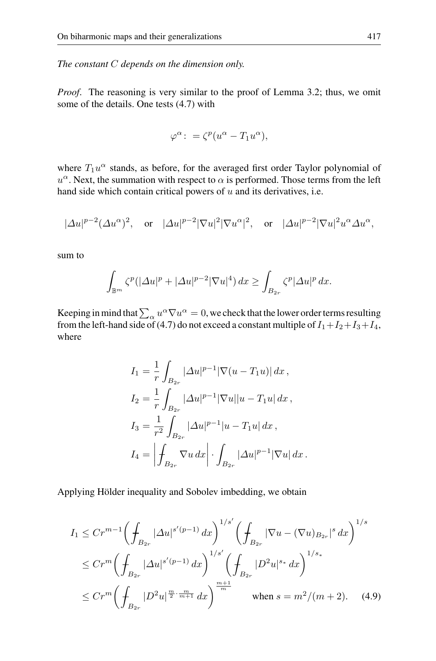*The constant* C *depends on the dimension only.*

*Proof*. The reasoning is very similar to the proof of Lemma 3.2; thus, we omit some of the details. One tests (4.7) with

$$
\varphi^{\alpha} : = \zeta^{p} (u^{\alpha} - T_1 u^{\alpha}),
$$

where  $T_1u^{\alpha}$  stands, as before, for the averaged first order Taylor polynomial of  $u^{\alpha}$ . Next, the summation with respect to  $\alpha$  is performed. Those terms from the left hand side which contain critical powers of  $u$  and its derivatives, i.e.

$$
|\varDelta u|^{p-2}(\varDelta u^{\alpha})^2, \quad \text{or} \quad |\varDelta u|^{p-2}|\nabla u|^2|\nabla u^{\alpha}|^2, \quad \text{or} \quad |\varDelta u|^{p-2}|\nabla u|^2u^{\alpha}\varDelta u^{\alpha},
$$

sum to

$$
\int_{\mathbb{B}^m} \zeta^p (|\Delta u|^p + |\Delta u|^{p-2} |\nabla u|^4) \, dx \ge \int_{B_{2r}} \zeta^p |\Delta u|^p \, dx.
$$

Keeping in mind that  $\sum_{\alpha} u^{\alpha} \nabla u^{\alpha} = 0$ , we check that the lower order terms resulting from the left-hand side of (4.7) do not exceed a constant multiple of  $I_1+I_2+I_3+I_4$ , where

$$
I_1 = \frac{1}{r} \int_{B_{2r}} |\Delta u|^{p-1} |\nabla (u - T_1 u)| dx ,
$$
  
\n
$$
I_2 = \frac{1}{r} \int_{B_{2r}} |\Delta u|^{p-1} |\nabla u| |u - T_1 u| dx ,
$$
  
\n
$$
I_3 = \frac{1}{r^2} \int_{B_{2r}} |\Delta u|^{p-1} |u - T_1 u| dx ,
$$
  
\n
$$
I_4 = \left| \int_{B_{2r}} \nabla u \, dx \right| \cdot \int_{B_{2r}} |\Delta u|^{p-1} |\nabla u| dx .
$$

Applying Hölder inequality and Sobolev imbedding, we obtain

$$
I_{1} \leq Cr^{m-1} \left( \int_{B_{2r}} |\Delta u|^{s'(p-1)} dx \right)^{1/s'} \left( \int_{B_{2r}} |\nabla u - (\nabla u)_{B_{2r}}|^{s} dx \right)^{1/s}
$$
  

$$
\leq Cr^{m} \left( \int_{B_{2r}} |\Delta u|^{s'(p-1)} dx \right)^{1/s'} \left( \int_{B_{2r}} |D^{2} u|^{s} dx \right)^{1/s_{*}}
$$
  

$$
\leq Cr^{m} \left( \int_{B_{2r}} |D^{2} u|^{\frac{m}{2} \cdot \frac{m}{m+1}} dx \right)^{\frac{m+1}{m}}
$$
when  $s = m^{2}/(m+2)$ . (4.9)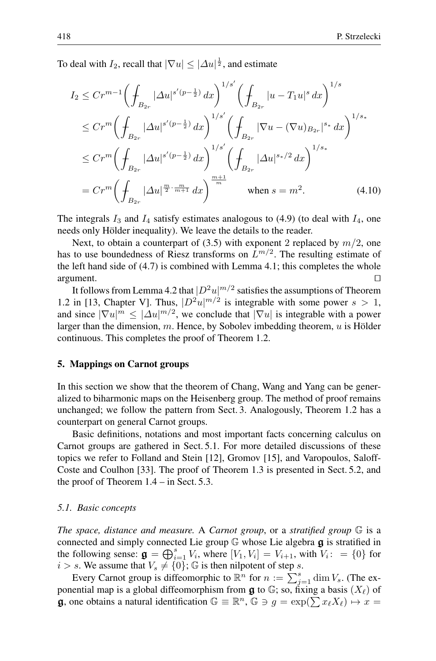To deal with  $I_2$ , recall that  $|\nabla u| \leq |\Delta u|^{\frac{1}{2}}$ , and estimate

$$
I_2 \leq Cr^{m-1} \left( \int_{B_{2r}} |\Delta u|^{s'(p-\frac{1}{2})} dx \right)^{1/s'} \left( \int_{B_{2r}} |u - T_1 u|^s dx \right)^{1/s}
$$
  
\n
$$
\leq Cr^m \left( \int_{B_{2r}} |\Delta u|^{s'(p-\frac{1}{2})} dx \right)^{1/s'} \left( \int_{B_{2r}} |\nabla u - (\nabla u)_{B_{2r}}|^{s_*} dx \right)^{1/s_*}
$$
  
\n
$$
\leq Cr^m \left( \int_{B_{2r}} |\Delta u|^{s'(p-\frac{1}{2})} dx \right)^{1/s'} \left( \int_{B_{2r}} |\Delta u|^{s_*/2} dx \right)^{1/s_*}
$$
  
\n
$$
= Cr^m \left( \int_{B_{2r}} |\Delta u|^{\frac{m}{2} \cdot \frac{m}{m+1}} dx \right)^{\frac{m+1}{m}} \quad \text{when } s = m^2.
$$
 (4.10)

The integrals  $I_3$  and  $I_4$  satisfy estimates analogous to (4.9) (to deal with  $I_4$ , one needs only Hölder inequality). We leave the details to the reader.

Next, to obtain a counterpart of (3.5) with exponent 2 replaced by  $m/2$ , one has to use boundedness of Riesz transforms on  $L^{m/2}$ . The resulting estimate of the left hand side of (4.7) is combined with Lemma 4.1; this completes the whole  $argument.$ 

It follows from Lemma 4.2 that  $|D^2u|^{m/2}$  satisfies the assumptions of Theorem 1.2 in [13, Chapter V]. Thus,  $|D^2u|^{m/2}$  is integrable with some power  $s > 1$ , and since  $|\nabla u|^m \leq |\Delta u|^{m/2}$ , we conclude that  $|\nabla u|$  is integrable with a power larger than the dimension, m. Hence, by Sobolev imbedding theorem,  $u$  is Hölder continuous. This completes the proof of Theorem 1.2.

#### **5. Mappings on Carnot groups**

In this section we show that the theorem of Chang, Wang and Yang can be generalized to biharmonic maps on the Heisenberg group. The method of proof remains unchanged; we follow the pattern from Sect. 3. Analogously, Theorem 1.2 has a counterpart on general Carnot groups.

Basic definitions, notations and most important facts concerning calculus on Carnot groups are gathered in Sect. 5.1. For more detailed discussions of these topics we refer to Folland and Stein [12], Gromov [15], and Varopoulos, Saloff-Coste and Coulhon [33]. The proof of Theorem 1.3 is presented in Sect. 5.2, and the proof of Theorem 1.4 – in Sect. 5.3.

## *5.1. Basic concepts*

*The space, distance and measure.* A *Carnot group*, or a *stratified group* G is a connected and simply connected Lie group <sup>G</sup> whose Lie algebra **g** is stratified in the following sense:  $\mathbf{g} = \bigoplus_{i=1}^{s} V_i$ , where  $[V_1, V_i] = V_{i+1}$ , with  $V_i$ :  $= \{0\}$  for  $i > s$ . We assume that  $V_i \neq \{0\}$ .  $\mathbb{G}$  is then nilpotent of step s  $i>s$ . We assume that  $V_s \neq \{0\}$ ; G is then nilpotent of step s.

Every Carnot group is diffeomorphic to  $\mathbb{R}^n$  for  $n := \sum_{j=1}^s \dim V_s$ . (The exponential map is a global diffeomorphism from  $\boldsymbol{g}$  to  $\mathbb{G}$ ; so, fixing a basis  $(X_{\ell})$  of **g**, one obtains a natural identification  $\mathbb{G} \equiv \mathbb{R}^n$ ,  $\mathbb{G} \ni g = \exp(\sum x_\ell X_\ell) \mapsto x =$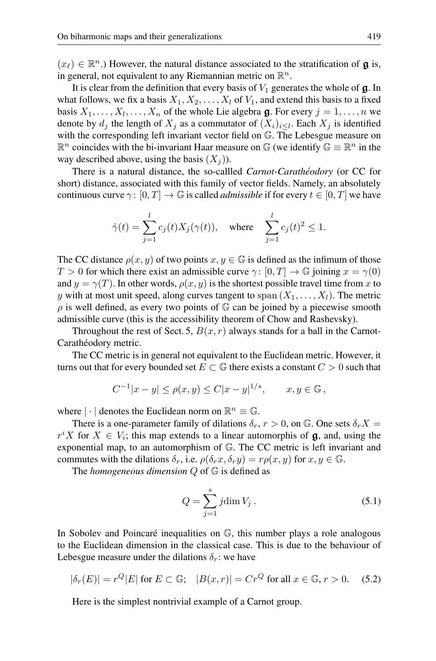$(x_{\ell}) \in \mathbb{R}^n$ .) However, the natural distance associated to the stratification of **g** is, in general, not equivalent to any Riemannian metric on  $\mathbb{R}^n$ .

It is clear from the definition that every basis of  $V_1$  generates the whole of  $\boldsymbol{g}$ . In what follows, we fix a basis  $X_1, X_2, \ldots, X_l$  of  $V_1$ , and extend this basis to a fixed basis  $X_1, \ldots, X_l, \ldots, X_n$  of the whole Lie algebra  $\mathfrak{g}$ . For every  $j = 1, \ldots, n$  we denote by  $d_i$  the length of  $X_i$  as a commutator of  $(X_i)_{i\leq l}$ . Each  $X_i$  is identified with the corresponding left invariant vector field on G. The Lebesgue measure on  $\mathbb{R}^n$  coincides with the bi-invariant Haar measure on  $\mathbb{G}$  (we identify  $\mathbb{G} \equiv \mathbb{R}^n$  in the way described above, using the basis  $(X_i)$ ).

There is a natural distance, the so-callled *Carnot-Carathéodory* (or CC for short) distance, associated with this family of vector fields. Namely, an absolutely continuous curve  $\gamma: [0, T] \to \mathbb{G}$  is called *admissible* if for every  $t \in [0, T]$  we have

$$
\dot{\gamma}(t) = \sum_{j=1}^{l} c_j(t) X_j(\gamma(t)), \quad \text{where} \quad \sum_{j=1}^{l} c_j(t)^2 \le 1.
$$

The CC distance  $\rho(x, y)$  of two points  $x, y \in \mathbb{G}$  is defined as the infimum of those  $T > 0$  for which there exist an admissible curve  $\gamma : [0, T] \to \mathbb{G}$  joining  $x = \gamma(0)$ and  $y = \gamma(T)$ . In other words,  $\rho(x, y)$  is the shortest possible travel time from x to y with at most unit speed, along curves tangent to span  $(X_1, \ldots, X_l)$ . The metric  $\rho$  is well defined, as every two points of  $\mathbb G$  can be joined by a piecewise smooth admissible curve (this is the accessibility theorem of Chow and Rashevsky).

Throughout the rest of Sect. 5,  $B(x, r)$  always stands for a ball in the Carnot-Carathéodory metric.

The CC metric is in general not equivalent to the Euclidean metric. However, it turns out that for every bounded set  $E \subset \mathbb{G}$  there exists a constant  $C > 0$  such that

$$
C^{-1}|x - y| \le \rho(x, y) \le C|x - y|^{1/s}, \quad x, y \in \mathbb{G},
$$

where  $|\cdot|$  denotes the Euclidean norm on  $\mathbb{R}^n \equiv \mathbb{G}$ .

There is a one-parameter family of dilations  $\delta_r$ ,  $r > 0$ , on  $\mathbb{G}$ . One sets  $\delta_r X =$  $r^i X$  for  $X \in V_i$ ; this map extends to a linear automorphis of **g**, and, using the exponential map to an automorphism of  $\mathbb{G}$ . The CC metric is left invariant and exponential map, to an automorphism of G. The CC metric is left invariant and commutes with the dilations  $\delta_r$ , i.e.  $\rho(\delta_r x, \delta_r y) = r \rho(x, y)$  for  $x, y \in \mathbb{G}$ .

The *homogeneous dimension* Q of G is defined as

$$
Q = \sum_{j=1}^{s} j \dim V_j. \tag{5.1}
$$

In Sobolev and Poincaré inequalities on  $\mathbb{G}$ , this number plays a role analogous to the Euclidean dimension in the classical case. This is due to the behaviour of Lebesgue measure under the dilations  $\delta_r$ : we have

$$
|\delta_r(E)| = r^Q |E| \text{ for } E \subset \mathbb{G}; \quad |B(x, r)| = Cr^Q \text{ for all } x \in \mathbb{G}, r > 0. \tag{5.2}
$$

Here is the simplest nontrivial example of a Carnot group.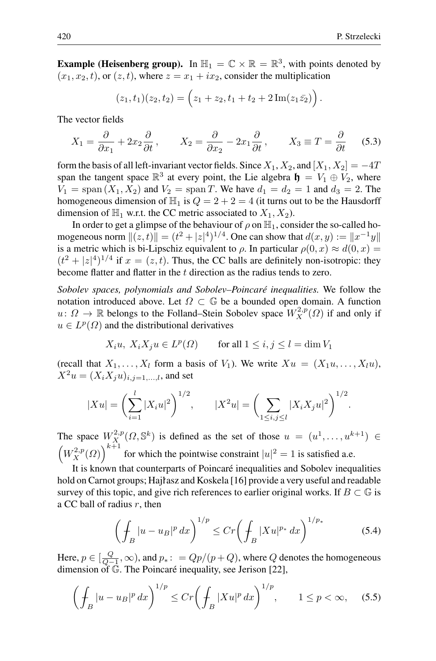**Example (Heisenberg group).** In  $\mathbb{H}_1 = \mathbb{C} \times \mathbb{R} = \mathbb{R}^3$ , with points denoted by  $(x_1, x_2, t)$ , or  $(z, t)$ , where  $z = x_1 + ix_2$ , consider the multiplication

$$
(z_1,t_1)(z_2,t_2)=\left(z_1+z_2,t_1+t_2+2\,\mathrm{Im}(z_1\bar{z_2})\right).
$$

The vector fields

$$
X_1 = \frac{\partial}{\partial x_1} + 2x_2 \frac{\partial}{\partial t}, \qquad X_2 = \frac{\partial}{\partial x_2} - 2x_1 \frac{\partial}{\partial t}, \qquad X_3 \equiv T = \frac{\partial}{\partial t} \qquad (5.3)
$$

form the basis of all left-invariant vector fields. Since  $X_1, X_2$ , and  $[X_1, X_2] = -4T$ span the tangent space  $\mathbb{R}^3$  at every point, the Lie algebra  $\mathbf{h} = V_1 \oplus V_2$ , where  $V_1 = \text{span}(X_1, X_2)$  and  $V_2 = \text{span } T$ . We have  $d_1 = d_2 = 1$  and  $d_3 = 2$ . The homogeneous dimension of  $\mathbb{H}_1$  is  $Q = 2 + 2 = 4$  (it turns out to be the Hausdorff dimension of  $\mathbb{H}_1$  w.r.t. the CC metric associated to  $X_1, X_2$ ).

In order to get a glimpse of the behaviour of  $\rho$  on  $\mathbb{H}_1$ , consider the so-called homogeneous norm  $||(z, t)|| = (t^2 + |z|^4)^{1/4}$ . One can show that  $d(x, y) := ||x^{-1}y||$ is a metric which is bi-Lipschiz equivalent to  $\rho$ . In particular  $\rho(0, x) \approx d(0, x) =$  $(t^2 + |z|^4)^{1/4}$  if  $x = (z, t)$ . Thus, the CC balls are definitely non-isotropic: they become flatter and flatter in the t direction as the radius tends to zero.

*Sobolev spaces, polynomials and Sobolev–Poincare inequalities. ´* We follow the notation introduced above. Let  $\Omega \subset \mathbb{G}$  be a bounded open domain. A function  $u: \Omega \to \mathbb{R}$  belongs to the Folland–Stein Sobolev space  $W_X^{2,p}(\Omega)$  if and only if  $u \in L^p(\Omega)$  and the distributional derivatives

$$
X_i u, X_i X_j u \in L^p(\Omega) \qquad \text{for all } 1 \le i, j \le l = \dim V_1
$$

(recall that  $X_1, \ldots, X_l$  form a basis of  $V_1$ ). We write  $Xu = (X_1u, \ldots, X_lu)$ ,  $X^2u = (X_iX_ju)_{i,j=1,...,l}$ , and set

$$
|Xu| = \left(\sum_{i=1}^{l} |X_i u|^2\right)^{1/2}, \qquad |X^2u| = \left(\sum_{1 \le i,j \le l} |X_i X_j u|^2\right)^{1/2}.
$$

The space  $W_X^{2,p}(\Omega, \mathbb{S}^k)$  is defined as the set of those  $u = (u^1, \ldots, u^{k+1}) \in$  $\left(W_X^{2,p}(Q)\right)^{k+1}$  for which the pointwise constraint  $|u|^2 = 1$  is satisfied a.e.

It is known that counterparts of Poincaré inequalities and Sobolev inequalities hold on Carnot groups; Hajlasz and Koskela  $[16]$  provide a very useful and readable survey of this topic, and give rich references to earlier original works. If  $B \subset \mathbb{G}$  is a CC ball of radius  $r$ , then

$$
\left(\int_{B} |u - u_{B}|^{p} dx\right)^{1/p} \le Cr \left(\int_{B} |Xu|^{p_{*}} dx\right)^{1/p_{*}}
$$
\n(5.4)

Here,  $p \in [\frac{Q}{Q-1}, \infty)$ , and  $p_* \colon = Qp/(p+Q)$ , where  $Q$  denotes the homogeneous dimension of  $\mathbb{G}$ . The Poincaré inequality, see Jerison [22],

$$
\left(\int_B |u - u_B|^p \, dx\right)^{1/p} \le Cr \left(\int_B |Xu|^p \, dx\right)^{1/p}, \qquad 1 \le p < \infty,\tag{5.5}
$$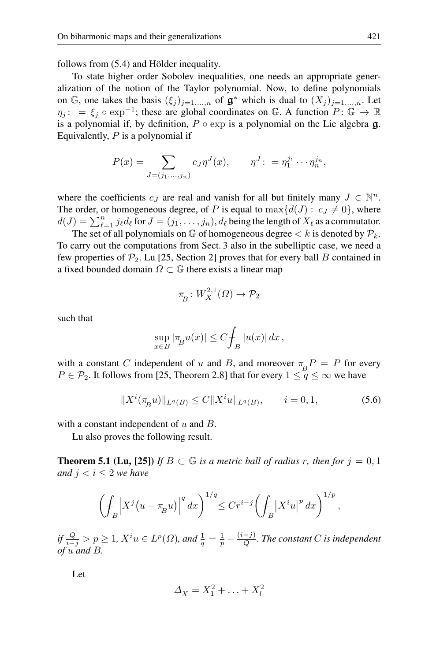follows from  $(5.4)$  and Hölder inequality.

To state higher order Sobolev inequalities, one needs an appropriate generalization of the notion of the Taylor polynomial. Now, to define polynomials on  $\mathbb{G}$ , one takes the basis  $(\xi_i)_{i=1,\dots,n}$  of  $\mathfrak{g}^*$  which is dual to  $(X_i)_{i=1,\dots,n}$ . Let  $\eta_i: = \xi_i \circ \exp^{-1}$ ; these are global coordinates on G. A function  $P: \mathbb{G} \to \mathbb{R}$ is a polynomial if, by definition,  $P \circ \exp$  is a polynomial on the Lie algebra  $\mathbf{g}$ . Equivalently,  $P$  is a polynomial if

$$
P(x) = \sum_{J=(j_1,...,j_n)} c_J \eta^J(x), \qquad \eta^J: = \eta_1^{j_1} \cdots \eta_n^{j_n},
$$

where the coefficients  $c_J$  are real and vanish for all but finitely many  $J \in \mathbb{N}^n$ . The order, or homogeneous degree, of P is equal to  $\max\{d(J): c_J \neq 0\}$ , where  $d(J) = \sum_{\ell=1}^n j_\ell d_\ell$  for  $J = (j_1,\ldots,j_n)$ ,  $d_\ell$  being the length of  $X_\ell$  as a commutator.

The set of all polynomials on G of homogeneous degree  $\lt k$  is denoted by  $\mathcal{P}_k$ . To carry out the computations from Sect. 3 also in the subelliptic case, we need a few properties of  $\mathcal{P}_2$ . Lu [25, Section 2] proves that for every ball B contained in a fixed bounded domain  $\Omega \subset \mathbb{G}$  there exists a linear map

$$
\pi_{\!\stackrel{\phantom{.}}{B}}\colon W^{2,1}_X(\varOmega)\to \mathcal{P}_2
$$

such that

$$
\sup_{x \in B} |\pi_B u(x)| \le C \int_B |u(x)| dx,
$$

with a constant C independent of u and B, and moreover  $\pi_B P = P$  for every  $P \in \mathcal{P}_2$ . It follows from [25, Theorem 2.8] that for every  $1 \leq q \leq \infty$  we have

$$
||X^{i}(\pi_{B} u)||_{L^{q}(B)} \le C||X^{i} u||_{L^{q}(B)}, \qquad i = 0, 1,
$$
\n(5.6)

with a constant independent of  $u$  and  $B$ .

Lu also proves the following result.

**Theorem 5.1 (Lu, [25])** *If*  $B \subset \mathbb{G}$  *is a metric ball of radius r, then for*  $j = 0, 1$ *and*  $j < i \leq 2$  *we have* 

$$
\left(\int_B \left|X^j(u - \pi_B u)\right|^q dx\right)^{1/q} \le Cr^{i-j}\left(\int_B \left|X^i u\right|^p dx\right)^{1/p},
$$

*if*  $\frac{Q}{i-j} > p \geq 1$ ,  $X^i u \in L^p(\Omega)$ , and  $\frac{1}{q} = \frac{1}{p} - \frac{(i-j)}{Q}$ . The constant C is independent *of* u *and* B*.*

Let

$$
\Delta_X = X_1^2 + \ldots + X_l^2
$$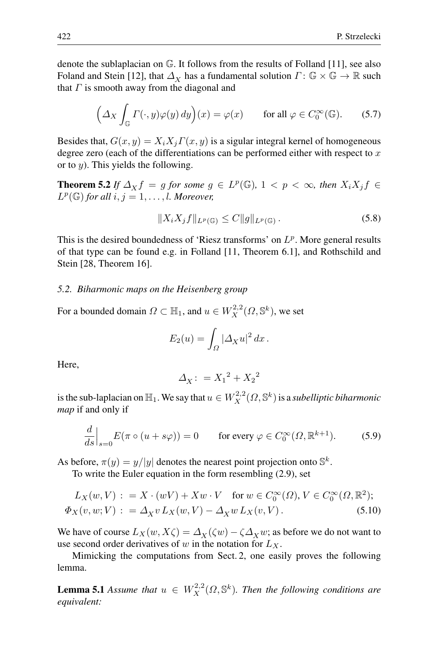denote the sublaplacian on G. It follows from the results of Folland [11], see also Foland and Stein [12], that  $\Delta_X$  has a fundamental solution  $\Gamma: \mathbb{G} \times \mathbb{G} \to \mathbb{R}$  such that  $\Gamma$  is smooth away from the diagonal and

$$
\left(\Delta_X \int_{\mathbb{G}} \Gamma(\cdot, y)\varphi(y) \, dy\right)(x) = \varphi(x) \qquad \text{for all } \varphi \in C_0^{\infty}(\mathbb{G}).\tag{5.7}
$$

Besides that,  $G(x, y) = X_i X_j \Gamma(x, y)$  is a sigular integral kernel of homogeneous degree zero (each of the differentiations can be performed either with respect to  $x$ or to  $y$ ). This yields the following.

**Theorem 5.2** *If*  $\Delta_X f = g$  *for some*  $g \in L^p(\mathbb{G})$ ,  $1 < p < \infty$ *, then*  $X_i X_j f \in$  $L^p(\mathbb{G})$  *for all*  $i, j = 1, \ldots, l$ *. Moreover,* 

$$
||X_i X_j f||_{L^p(\mathbb{G})} \leq C ||g||_{L^p(\mathbb{G})}. \tag{5.8}
$$

This is the desired boundedness of 'Riesz transforms' on  $L^p$ . More general results of that type can be found e.g. in Folland [11, Theorem 6.1], and Rothschild and Stein [28, Theorem 16].

#### *5.2. Biharmonic maps on the Heisenberg group*

For a bounded domain  $\Omega \subset \mathbb{H}_1$ , and  $u \in W_X^{2,2}(\Omega,\mathbb{S}^k)$ , we set

$$
E_2(u) = \int_{\Omega} |\Delta_X u|^2 dx.
$$

Here,

$$
\varDelta_\textbf{X}\colon = {X_1}^2+{X_2}^2
$$

is the sub-laplacian on  $\mathbb{H}_1.$  We say that  $u\in W^{2,2}_X(\Omega,\mathbb{S}^{k})$  is a *subelliptic biharmonic map* if and only if

$$
\frac{d}{ds}\Big|_{s=0} E(\pi \circ (u + s\varphi)) = 0 \qquad \text{for every } \varphi \in C_0^{\infty}(\Omega, \mathbb{R}^{k+1}).\tag{5.9}
$$

As before,  $\pi(y) = y/|y|$  denotes the nearest point projection onto  $\mathbb{S}^k$ .

To write the Euler equation in the form resembling (2.9), set

$$
L_X(w, V) : = X \cdot (wV) + Xw \cdot V \quad \text{for } w \in C_0^{\infty}(\Omega), V \in C_0^{\infty}(\Omega, \mathbb{R}^2);
$$
  

$$
\Phi_X(v, w; V) : = \Delta_X v L_X(w, V) - \Delta_X w L_X(v, V).
$$
 (5.10)

We have of course  $L_X(w, X\zeta) = \Delta_X(\zeta w) - \zeta \Delta_X w$ ; as before we do not want to use second order derivatives of w in the notation for  $L_X$ .

Mimicking the computations from Sect. 2, one easily proves the following lemma.

**Lemma 5.1** *Assume that*  $u \in W_X^{2,2}(\Omega, \mathbb{S}^k)$ . *Then the following conditions are equivalent:*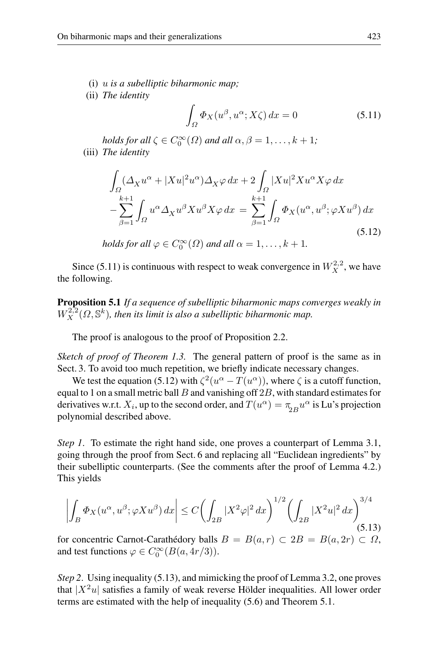- (i) u *is a subelliptic biharmonic map;*
- (ii) *The identity*

$$
\int_{\Omega} \Phi_X(u^{\beta}, u^{\alpha}; X\zeta) dx = 0 \tag{5.11}
$$

*holds for all*  $\zeta \in C_0^{\infty}(\Omega)$  *and all*  $\alpha, \beta = 1, \ldots, k + 1$ *;* (iii) *The identity*

$$
\int_{\Omega} (\Delta_X u^{\alpha} + |Xu|^2 u^{\alpha}) \Delta_X \varphi \, dx + 2 \int_{\Omega} |Xu|^2 X u^{\alpha} X \varphi \, dx
$$

$$
- \sum_{\beta=1}^{k+1} \int_{\Omega} u^{\alpha} \Delta_X u^{\beta} X u^{\beta} X \varphi \, dx = \sum_{\beta=1}^{k+1} \int_{\Omega} \Phi_X (u^{\alpha}, u^{\beta}; \varphi X u^{\beta}) \, dx
$$
(5.12)

holds for all 
$$
\varphi \in C_0^{\infty}(\Omega)
$$
 and all  $\alpha = 1, ..., k + 1$ .

Since (5.11) is continuous with respect to weak convergence in  $W_X^{2,2}$ , we have the following.

**Proposition 5.1** *If a sequence of subelliptic biharmonic maps converges weakly in*  $W_X^{2,2}(\Omega,\mathbb{S}^k)$ , then its limit is also a subelliptic biharmonic map.

The proof is analogous to the proof of Proposition 2.2.

*Sketch of proof of Theorem 1.3.* The general pattern of proof is the same as in Sect. 3. To avoid too much repetition, we briefly indicate necessary changes.

We test the equation (5.12) with  $\zeta^2(u^{\alpha}-T(u^{\alpha}))$ , where  $\zeta$  is a cutoff function, equal to 1 on a small metric ball  $B$  and vanishing off  $2B$ , with standard estimates for derivatives w.r.t.  $X_i$ , up to the second order, and  $T(u^{\alpha}) = \pi_{2B} u^{\alpha}$  is Lu's projection polynomial described above.

*Step 1*. To estimate the right hand side, one proves a counterpart of Lemma 3.1, going through the proof from Sect. 6 and replacing all "Euclidean ingredients" by their subelliptic counterparts. (See the comments after the proof of Lemma 4.2.) This yields

$$
\left| \int_{B} \Phi_{X}(u^{\alpha}, u^{\beta}; \varphi X u^{\beta}) dx \right| \le C \left( \int_{2B} |X^{2} \varphi|^{2} dx \right)^{1/2} \left( \int_{2B} |X^{2} u|^{2} dx \right)^{3/4} (5.13)
$$

for concentric Carnot-Carathédory balls  $B = B(a, r) \subset 2B = B(a, 2r) \subset \Omega$ , and test functions  $\varphi \in C_0^{\infty}(B(a, 4r/3)).$ 

*Step 2*. Using inequality (5.13), and mimicking the proof of Lemma 3.2, one proves that  $|X^2u|$  satisfies a family of weak reverse Hölder inequalities. All lower order terms are estimated with the help of inequality (5.6) and Theorem 5.1.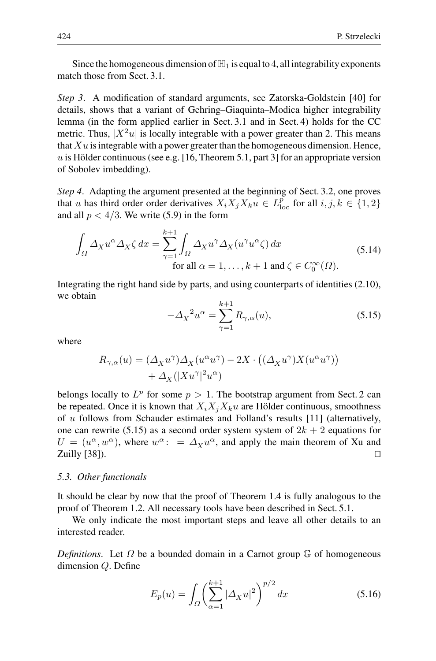Since the homogeneous dimension of  $\mathbb{H}_1$  is equal to 4, all integrability exponents match those from Sect. 3.1.

*Step 3*. A modification of standard arguments, see Zatorska-Goldstein [40] for details, shows that a variant of Gehring–Giaquinta–Modica higher integrability lemma (in the form applied earlier in Sect. 3.1 and in Sect. 4) holds for the CC metric. Thus,  $|X^2u|$  is locally integrable with a power greater than 2. This means that  $Xu$  is integrable with a power greater than the homogeneous dimension. Hence, u is Hölder continuous (see e.g. [16, Theorem 5.1, part 3] for an appropriate version of Sobolev imbedding).

*Step 4*. Adapting the argument presented at the beginning of Sect. 3.2, one proves that u has third order order derivatives  $X_i X_j X_k u \in L^p_{loc}$  for all  $i, j, k \in \{1, 2\}$ and all  $p < 4/3$ . We write (5.9) in the form

$$
\int_{\Omega} \Delta_X u^{\alpha} \Delta_X \zeta \, dx = \sum_{\gamma=1}^{k+1} \int_{\Omega} \Delta_X u^{\gamma} \Delta_X (u^{\gamma} u^{\alpha} \zeta) \, dx
$$
\n
$$
\text{for all } \alpha = 1, \dots, k+1 \text{ and } \zeta \in C_0^{\infty}(\Omega). \tag{5.14}
$$

Integrating the right hand side by parts, and using counterparts of identities (2.10), we obtain

$$
-\Delta_X^2 u^\alpha = \sum_{\gamma=1}^{k+1} R_{\gamma,\alpha}(u),\tag{5.15}
$$

where

$$
\begin{split} R_{\gamma,\alpha}(u) &= \left(\varDelta_X u^\gamma\right)\varDelta_X(u^\alpha u^\gamma) - 2X\cdot\left((\varDelta_X u^\gamma)X(u^\alpha u^\gamma)\right) \\ &+ \varDelta_X(|Xu^\gamma|^2u^\alpha) \end{split}
$$

belongs locally to  $L^p$  for some  $p > 1$ . The bootstrap argument from Sect. 2 can be repeated. Once it is known that  $X_i X_i X_k u$  are Hölder continuous, smoothness of u follows from Schauder estimates and Folland's results [11] (alternatively, one can rewrite (5.15) as a second order system system of  $2k + 2$  equations for  $U = (u^{\alpha}, w^{\alpha})$ , where  $w^{\alpha}$ : =  $\Delta_X u^{\alpha}$ , and apply the main theorem of Xu and  $Zu$ illy [38]).  $\square$ 

## *5.3. Other functionals*

It should be clear by now that the proof of Theorem 1.4 is fully analogous to the proof of Theorem 1.2. All necessary tools have been described in Sect. 5.1.

We only indicate the most important steps and leave all other details to an interested reader.

*Definitions*. Let  $\Omega$  be a bounded domain in a Carnot group  $\mathbb{G}$  of homogeneous dimension Q. Define

$$
E_p(u) = \int_{\Omega} \left(\sum_{\alpha=1}^{k+1} |\Delta_X u|^2\right)^{p/2} dx
$$
 (5.16)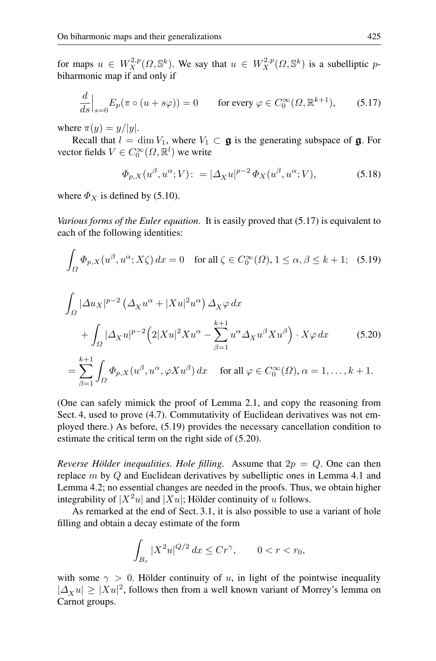for maps  $u \in W_X^{2,p}(\Omega, \mathbb{S}^k)$ . We say that  $u \in W_X^{2,p}(\Omega, \mathbb{S}^k)$  is a subelliptic pbiharmonic map if and only if

$$
\frac{d}{ds}\Big|_{s=0} E_p(\pi \circ (u+s\varphi)) = 0 \qquad \text{for every } \varphi \in C_0^{\infty}(\Omega, \mathbb{R}^{k+1}), \tag{5.17}
$$

where  $\pi(y) = y/|y|$ .

Recall that  $l = \dim V_1$ , where  $V_1 \subset \mathfrak{g}$  is the generating subspace of  $\mathfrak{g}$ . For vector fields  $V \in C_0^{\infty}(\Omega, \mathbb{R}^l)$  we write

$$
\Phi_{p,X}(u^{\beta}, u^{\alpha}; V) := |\Delta_X u|^{p-2} \Phi_X(u^{\beta}, u^{\alpha}; V), \tag{5.18}
$$

where  $\Phi_X$  is defined by (5.10).

*Various forms of the Euler equation*. It is easily proved that (5.17) is equivalent to each of the following identities:

$$
\int_{\Omega} \Phi_{p,X}(u^{\beta}, u^{\alpha}; X\zeta) dx = 0 \quad \text{for all } \zeta \in C_0^{\infty}(\Omega), 1 \le \alpha, \beta \le k+1; \quad (5.19)
$$

$$
\int_{\Omega} |\Delta u_X|^{p-2} \left(\Delta_X u^{\alpha} + |Xu|^2 u^{\alpha}\right) \Delta_X \varphi \, dx
$$
\n
$$
+ \int_{\Omega} |\Delta_X u|^{p-2} \left(2|Xu|^2 X u^{\alpha} - \sum_{\beta=1}^{k+1} u^{\alpha} \Delta_X u^{\beta} X u^{\beta}\right) \cdot X \varphi \, dx \tag{5.20}
$$
\n
$$
= \sum_{\beta=1}^{k+1} \int_{\Omega} \Phi_{p,X}(u^{\beta}, u^{\alpha}, \varphi X u^{\beta}) \, dx \quad \text{for all } \varphi \in C_0^{\infty}(\Omega), \alpha = 1, \dots, k+1.
$$

(One can safely mimick the proof of Lemma 2.1, and copy the reasoning from Sect. 4, used to prove (4.7). Commutativity of Euclidean derivatives was not employed there.) As before, (5.19) provides the necessary cancellation condition to estimate the critical term on the right side of (5.20).

*Reverse Hölder inequalities. Hole filling.* Assume that  $2p = Q$ . One can then replace m by  $Q$  and Euclidean derivatives by subelliptic ones in Lemma 4.1 and Lemma 4.2; no essential changes are needed in the proofs. Thus, we obtain higher integrability of  $|X^2u|$  and  $|Xu|$ ; Hölder continuity of u follows.

As remarked at the end of Sect. 3.1, it is also possible to use a variant of hole filling and obtain a decay estimate of the form

$$
\int_{B_r} |X^2 u|^{Q/2} dx \leq C r^{\gamma}, \qquad 0 < r < r_0,
$$

with some  $\gamma > 0$ . Hölder continuity of u, in light of the pointwise inequality  $|\Delta_X u| \ge |Xu|^2$ , follows then from a well known variant of Morrey's lemma on Carnot groups.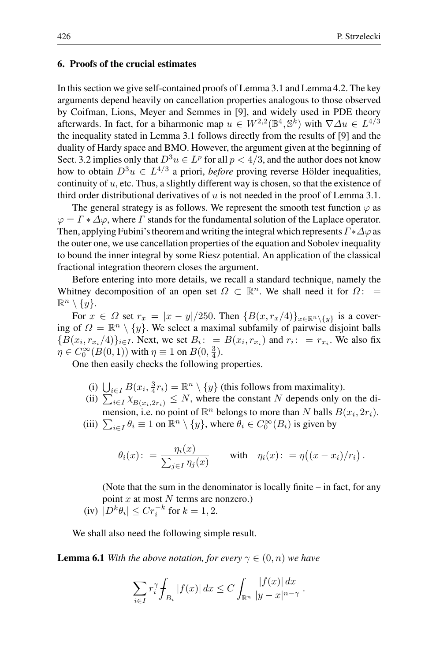# **6. Proofs of the crucial estimates**

In this section we give self-contained proofs of Lemma 3.1 and Lemma 4.2. The key arguments depend heavily on cancellation properties analogous to those observed by Coifman, Lions, Meyer and Semmes in [9], and widely used in PDE theory afterwards. In fact, for a biharmonic map  $u \in W^{2,2}(\mathbb{B}^4, \mathbb{S}^k)$  with  $\nabla \Delta u \in L^{4/3}$ the inequality stated in Lemma 3.1 follows directly from the results of [9] and the duality of Hardy space and BMO. However, the argument given at the beginning of Sect. 3.2 implies only that  $D^3u \in L^p$  for all  $p < 4/3$ , and the author does not know how to obtain  $D^3u \in L^{4/3}$  a priori, *before* proving reverse Hölder inequalities, continuity of  $u$ , etc. Thus, a slightly different way is chosen, so that the existence of third order distributional derivatives of  $u$  is not needed in the proof of Lemma 3.1.

The general strategy is as follows. We represent the smooth test function  $\varphi$  as  $\varphi = \Gamma * \Delta \varphi$ , where  $\Gamma$  stands for the fundamental solution of the Laplace operator. Then, applying Fubini's theorem and writing the integral which represents  $\Gamma^* \Delta \varphi$  as the outer one, we use cancellation properties of the equation and Sobolev inequality to bound the inner integral by some Riesz potential. An application of the classical fractional integration theorem closes the argument.

Before entering into more details, we recall a standard technique, namely the Whitney decomposition of an open set  $\Omega \subset \mathbb{R}^n$ . We shall need it for  $\Omega$ : =  $\mathbb{R}^n \setminus \{y\}.$ 

For  $x \in \Omega$  set  $r_x = |x - y|/250$ . Then  $\{B(x, r_x/4)\}_{x \in \mathbb{R}^n \setminus \{y\}}$  is a covering of  $\Omega = \mathbb{R}^n \setminus \{y\}$ . We select a maximal subfamily of pairwise disjoint balls  ${B(x_i, r_{x_i}/4)}_{i\in I}$ . Next, we set  $B_i: B(x_i, r_{x_i})$  and  $r_i: r_{x_i}$ . We also fix  $\eta \in C_0^{\infty}(B(0, 1))$  with  $\eta \equiv 1$  on  $B(0, \frac{3}{4})$ .

One then easily checks the following properties.

- (i)  $\bigcup_{i \in I} B(x_i, \frac{3}{4}r_i) = \mathbb{R}^n \setminus \{y\}$  (this follows from maximality).
- (ii)  $\sum_{i\in I}^{\infty} \chi_{B(x_i, 2r_i)} \leq N$ , where the constant N depends only on the dimension, i.e. no point of  $\mathbb{R}^n$  belongs to more than N balls  $B(x_i, 2r_i)$ .
- (iii)  $\sum_{i \in I} \theta_i \equiv 1$  on  $\mathbb{R}^n \setminus \{y\}$ , where  $\theta_i \in C_0^{\infty}(B_i)$  is given by

$$
\theta_i(x) := \frac{\eta_i(x)}{\sum_{j \in I} \eta_j(x)} \quad \text{with} \quad \eta_i(x) := \eta((x - x_i)/r_i) .
$$

(Note that the sum in the denominator is locally finite – in fact, for any point  $x$  at most  $N$  terms are nonzero.) (iv)  $|D^k \theta_i| \leq C r_i^{-k}$  for  $k = 1, 2$ .

We shall also need the following simple result.

**Lemma 6.1** *With the above notation, for every*  $\gamma \in (0, n)$  *we have* 

$$
\sum_{i\in I}r_i^\gamma\hskip-1pt\int_{B_i}|f(x)|\,dx\leq C\int_{\mathbb{R}^n}\frac{|f(x)|\,dx}{|y-x|^{n-\gamma}}\,.
$$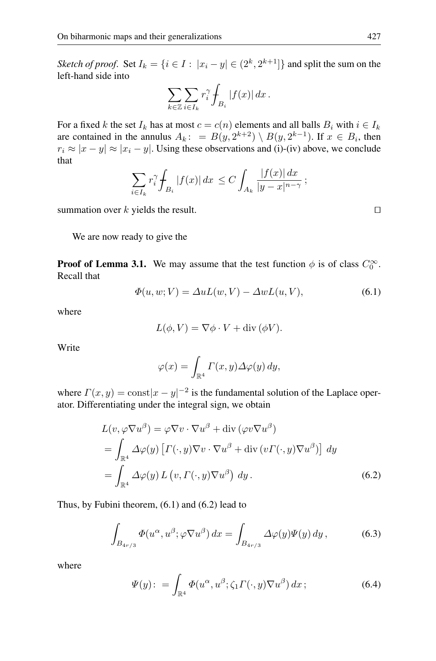*Sketch of proof.* Set  $I_k = \{i \in I : |x_i - y| \in (2^k, 2^{k+1}] \}$  and split the sum on the left-hand side into

$$
\sum_{k\in\mathbb{Z}}\sum_{i\in I_k}r_i^{\gamma}\int_{B_i}|f(x)|\,dx\,.
$$

For a fixed k the set  $I_k$  has at most  $c = c(n)$  elements and all balls  $B_i$  with  $i \in I_k$ are contained in the annulus  $A_k$ : =  $B(y, 2^{k+2}) \setminus B(y, 2^{k-1})$ . If  $x \in B_i$ , then  $r_i \approx |x - y| \approx |x_i - y|$ . Using these observations and (i)-(iv) above, we conclude that

$$
\sum_{i \in I_k} r_i^{\gamma} \int_{B_i} |f(x)| dx \le C \int_{A_k} \frac{|f(x)| dx}{|y - x|^{n - \gamma}};
$$

summation over k yields the result.  $\square$ 

We are now ready to give the

**Proof of Lemma 3.1.** We may assume that the test function  $\phi$  is of class  $C_0^{\infty}$ . Recall that

$$
\Phi(u, w; V) = \Delta u L(w, V) - \Delta w L(u, V), \qquad (6.1)
$$

where

$$
L(\phi, V) = \nabla \phi \cdot V + \text{div}(\phi V).
$$

Write

$$
\varphi(x) = \int_{\mathbb{R}^4} \Gamma(x, y) \Delta \varphi(y) \, dy,
$$

where  $\Gamma(x, y) = \text{const}|x - y|^{-2}$  is the fundamental solution of the Laplace operator. Differentiating under the integral sign, we obtain

$$
L(v, \varphi \nabla u^{\beta}) = \varphi \nabla v \cdot \nabla u^{\beta} + \text{div} (\varphi v \nabla u^{\beta})
$$
  
= 
$$
\int_{\mathbb{R}^{4}} \Delta \varphi(y) \left[ \Gamma(\cdot, y) \nabla v \cdot \nabla u^{\beta} + \text{div} (v \Gamma(\cdot, y) \nabla u^{\beta}) \right] dy
$$
  
= 
$$
\int_{\mathbb{R}^{4}} \Delta \varphi(y) L(v, \Gamma(\cdot, y) \nabla u^{\beta}) dy.
$$
 (6.2)

Thus, by Fubini theorem, (6.1) and (6.2) lead to

$$
\int_{B_{4r/3}} \Phi(u^{\alpha}, u^{\beta}; \varphi \nabla u^{\beta}) dx = \int_{B_{4r/3}} \Delta \varphi(y) \Psi(y) dy,
$$
\n(6.3)

where

$$
\Psi(y): = \int_{\mathbb{R}^4} \Phi(u^{\alpha}, u^{\beta}; \zeta_1 \Gamma(\cdot, y) \nabla u^{\beta}) dx ; \qquad (6.4)
$$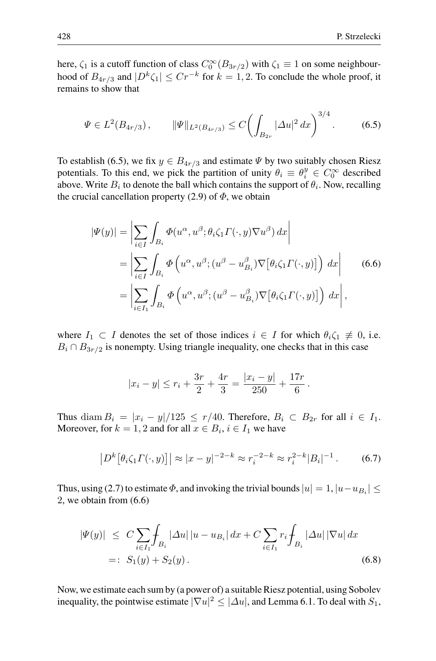here,  $\zeta_1$  is a cutoff function of class  $C_0^{\infty}(B_{3r/2})$  with  $\zeta_1 \equiv 1$  on some neighbourhood of  $B_{4r/3}$  and  $|D^k \zeta_1| \leq Cr^{-k}$  for  $k = 1, 2$ . To conclude the whole proof, it remains to show that

$$
\Psi \in L^{2}(B_{4r/3}), \qquad \|\Psi\|_{L^{2}(B_{4r/3})} \leq C \left(\int_{B_{2r}} |\Delta u|^{2} dx\right)^{3/4}.
$$
 (6.5)

To establish (6.5), we fix  $y \in B_{4r/3}$  and estimate  $\Psi$  by two suitably chosen Riesz potentials. To this end, we pick the partition of unity  $\theta_i \equiv \theta_i^y \in C_0^{\infty}$  described above. Write  $B_i$  to denote the ball which contains the support of  $\theta_i$ . Now, recalling the crucial cancellation property (2.9) of  $\Phi$ , we obtain

$$
|\Psi(y)| = \left| \sum_{i \in I} \int_{B_i} \Phi(u^{\alpha}, u^{\beta}; \theta_i \zeta_1 \Gamma(\cdot, y) \nabla u^{\beta}) dx \right|
$$
  
\n
$$
= \left| \sum_{i \in I} \int_{B_i} \Phi\left(u^{\alpha}, u^{\beta}; (u^{\beta} - u^{\beta}_{B_i}) \nabla[\theta_i \zeta_1 \Gamma(\cdot, y)]\right) dx \right|
$$
  
\n
$$
= \left| \sum_{i \in I_1} \int_{B_i} \Phi\left(u^{\alpha}, u^{\beta}; (u^{\beta} - u^{\beta}_{B_i}) \nabla[\theta_i \zeta_1 \Gamma(\cdot, y)]\right) dx \right|,
$$
  
\n(6.6)

where  $I_1 \subset I$  denotes the set of those indices  $i \in I$  for which  $\theta_i \zeta_1 \neq 0$ , i.e.  $B_i \cap B_{3r/2}$  is nonempty. Using triangle inequality, one checks that in this case

$$
|x_i - y| \le r_i + \frac{3r}{2} + \frac{4r}{3} = \frac{|x_i - y|}{250} + \frac{17r}{6}.
$$

Thus diam  $B_i = |x_i - y|/125 \le r/40$ . Therefore,  $B_i \subset B_{2r}$  for all  $i \in I_1$ . Moreover, for  $k = 1, 2$  and for all  $x \in B_i$ ,  $i \in I_1$  we have

$$
\left| D^k \left[ \theta_i \zeta_1 \Gamma(\cdot, y) \right] \right| \approx |x - y|^{-2 - k} \approx r_i^{-2 - k} \approx r_i^{2 - k} |B_i|^{-1} \,. \tag{6.7}
$$

Thus, using (2.7) to estimate  $\Phi$ , and invoking the trivial bounds  $|u| = 1$ ,  $|u-u_{B_i}| \le$ 2, we obtain from (6.6)

$$
|\Psi(y)| \leq C \sum_{i \in I_1} \int_{B_i} |\Delta u| |u - u_{B_i}| dx + C \sum_{i \in I_1} r_i \int_{B_i} |\Delta u| |\nabla u| dx
$$
  
=:  $S_1(y) + S_2(y)$ . (6.8)

Now, we estimate each sum by (a power of) a suitable Riesz potential, using Sobolev inequality, the pointwise estimate  $|\nabla u|^2 \leq |\Delta u|$ , and Lemma 6.1. To deal with  $S_1$ ,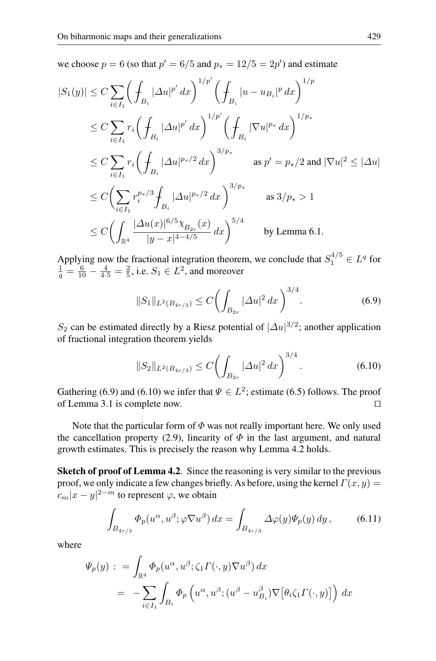we choose  $p = 6$  (so that  $p' = 6/5$  and  $p_* = 12/5 = 2p'$ ) and estimate

$$
|S_1(y)| \leq C \sum_{i \in I_1} \left( \int_{B_i} |\Delta u|^{p'} dx \right)^{1/p'} \left( \int_{B_i} |u - u_{B_i}|^p dx \right)^{1/p}
$$
  
\n
$$
\leq C \sum_{i \in I_1} r_i \left( \int_{B_i} |\Delta u|^{p'} dx \right)^{1/p'} \left( \int_{B_i} |\nabla u|^{p_*} dx \right)^{1/p_*}
$$
  
\n
$$
\leq C \sum_{i \in I_1} r_i \left( \int_{B_i} |\Delta u|^{p_*/2} dx \right)^{3/p_*} \quad \text{as } p' = p_*/2 \text{ and } |\nabla u|^2 \leq |\Delta u|
$$
  
\n
$$
\leq C \left( \sum_{i \in I_1} r_i^{p_*/3} \int_{B_i} |\Delta u|^{p_*/2} dx \right)^{3/p_*} \quad \text{as } 3/p_* > 1
$$
  
\n
$$
\leq C \left( \int_{\mathbb{R}^4} \frac{|\Delta u(x)|^{6/5} \chi_{B_{2r}}(x)}{|y - x|^{4 - 4/5}} dx \right)^{5/4} \quad \text{by Lemma 6.1.}
$$

Applying now the fractional integration theorem, we conclude that  $S_1^{4/5} \in L^q$  for  $\frac{1}{q} = \frac{6}{10} - \frac{4}{4 \cdot 5} = \frac{2}{5}$ , i.e.  $S_1 \in L^2$ , and moreover

$$
||S_1||_{L^2(B_{4r/3})} \le C \bigg(\int_{B_{2r}} |\Delta u|^2 \, dx\bigg)^{3/4}.\tag{6.9}
$$

S<sub>2</sub> can be estimated directly by a Riesz potential of  $|\Delta u|^{3/2}$ ; another application of fractional integration theorem yields

$$
||S_2||_{L^2(B_{4r/3})} \le C \left( \int_{B_{2r}} |\Delta u|^2 dx \right)^{3/4}.
$$
 (6.10)

Gathering (6.9) and (6.10) we infer that  $\Psi \in L^2$ ; estimate (6.5) follows. The proof of Lemma 3.1 is complete now.

Note that the particular form of  $\Phi$  was not really important here. We only used the cancellation property (2.9), linearity of  $\Phi$  in the last argument, and natural growth estimates. This is precisely the reason why Lemma 4.2 holds.

**Sketch of proof of Lemma 4.2.** Since the reasoning is very similar to the previous proof, we only indicate a few changes briefly. As before, using the kernel  $\Gamma(x, y) =$  $|c_m(x-y)|^{2-m}$  to represent  $\varphi$ , we obtain

$$
\int_{B_{4r/3}} \Phi_p(u^{\alpha}, u^{\beta}; \varphi \nabla u^{\beta}) dx = \int_{B_{4r/3}} \Delta \varphi(y) \Psi_p(y) dy,
$$
 (6.11)

where

$$
\Psi_p(y) : = \int_{\mathbb{R}^4} \Phi_p(u^{\alpha}, u^{\beta}; \zeta_1 \Gamma(\cdot, y) \nabla u^{\beta}) dx
$$
  
= 
$$
- \sum_{i \in I_1} \int_{B_i} \Phi_p\left(u^{\alpha}, u^{\beta}; (u^{\beta} - u^{\beta}_{B_i}) \nabla [\theta_i \zeta_1 \Gamma(\cdot, y)]\right) dx
$$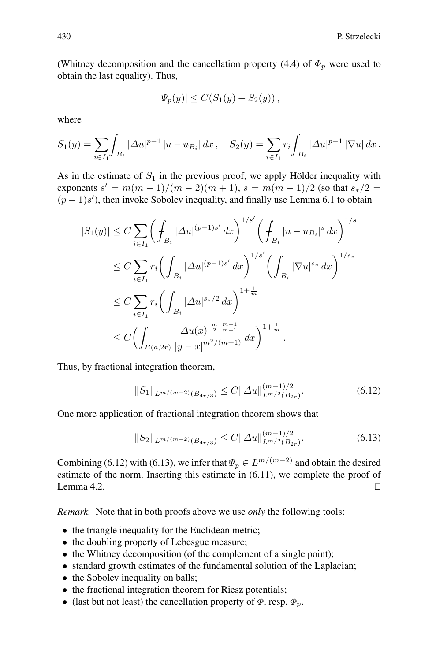(Whitney decomposition and the cancellation property (4.4) of  $\Phi_p$  were used to obtain the last equality). Thus,

$$
|\Psi_p(y)| \le C(S_1(y) + S_2(y)),
$$

where

$$
S_1(y) = \sum_{i \in I_1} \int_{B_i} |\Delta u|^{p-1} |u - u_{B_i}| dx, \quad S_2(y) = \sum_{i \in I_1} r_i \int_{B_i} |\Delta u|^{p-1} |\nabla u| dx.
$$

As in the estimate of  $S_1$  in the previous proof, we apply Hölder inequality with exponents  $s' = m(m-1)/(m-2)(m+1)$ ,  $s = m(m-1)/2$  (so that  $s_*/2 =$  $(p-1)s'$ , then invoke Sobolev inequality, and finally use Lemma 6.1 to obtain

$$
|S_1(y)| \leq C \sum_{i \in I_1} \left( \int_{B_i} |\Delta u|^{(p-1)s'} dx \right)^{1/s'} \left( \int_{B_i} |u - u_{B_i}|^s dx \right)^{1/s}
$$
  
\n
$$
\leq C \sum_{i \in I_1} r_i \left( \int_{B_i} |\Delta u|^{(p-1)s'} dx \right)^{1/s'} \left( \int_{B_i} |\nabla u|^{s_*} dx \right)^{1/s_*}
$$
  
\n
$$
\leq C \sum_{i \in I_1} r_i \left( \int_{B_i} |\Delta u|^{s_*/2} dx \right)^{1 + \frac{1}{m}}
$$
  
\n
$$
\leq C \left( \int_{B(a, 2r)} \frac{|\Delta u(x)|^{\frac{m}{2} \cdot \frac{m-1}{m+1}}}{|y - x|^{m^2/(m+1)}} dx \right)^{1 + \frac{1}{m}}.
$$

Thus, by fractional integration theorem,

$$
||S_1||_{L^{m/(m-2)}(B_{4r/3})} \leq C||\Delta u||_{L^{m/2}(B_{2r})}^{(m-1)/2}.
$$
\n(6.12)

One more application of fractional integration theorem shows that

$$
||S_2||_{L^{m/(m-2)}(B_{4r/3})} \leq C||\Delta u||_{L^{m/2}(B_{2r})}^{(m-1)/2}.
$$
\n(6.13)

Combining (6.12) with (6.13), we infer that  $\Psi_p \in L^{m/(m-2)}$  and obtain the desired estimate of the norm. Inserting this estimate in (6.11), we complete the proof of Lemma 4.2.  $\Box$ 

*Remark.* Note that in both proofs above we use *only* the following tools:

- the triangle inequality for the Euclidean metric;
- the doubling property of Lebesgue measure;
- the Whitney decomposition (of the complement of a single point);
- standard growth estimates of the fundamental solution of the Laplacian;
- the Sobolev inequality on balls;
- the fractional integration theorem for Riesz potentials;
- (last but not least) the cancellation property of  $\Phi$ , resp.  $\Phi_p$ .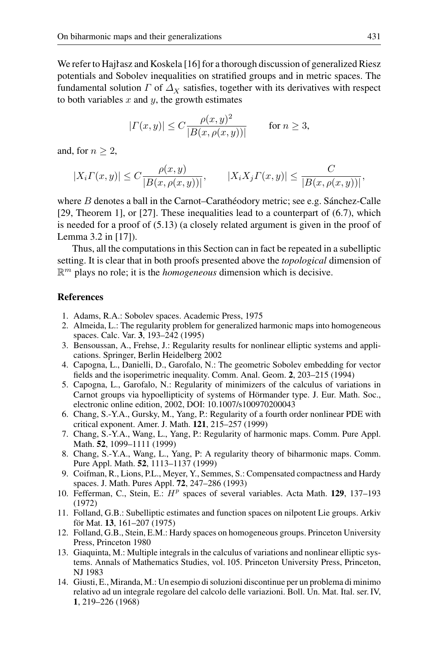We refer to Hajlasz and Koskela [16] for a thorough discussion of generalized Riesz potentials and Sobolev inequalities on stratified groups and in metric spaces. The fundamental solution  $\Gamma$  of  $\Delta_X$  satisfies, together with its derivatives with respect to both variables  $x$  and  $y$ , the growth estimates

$$
|\varGamma(x,y)|\leq C\frac{\rho(x,y)^2}{|B(x,\rho(x,y))|}\qquad\text{for }n\geq 3,
$$

and, for  $n \geq 2$ ,

$$
|X_i\Gamma(x,y)|\leq C\frac{\rho(x,y)}{|B(x,\rho(x,y))|},\qquad |X_iX_j\Gamma(x,y)|\leq \frac{C}{|B(x,\rho(x,y))|},
$$

where  $B$  denotes a ball in the Carnot–Caratheodory metric; see e.g. Sanchez-Calle [29, Theorem 1], or [27]. These inequalities lead to a counterpart of (6.7), which is needed for a proof of (5.13) (a closely related argument is given in the proof of Lemma 3.2 in [17]).

Thus, all the computations in this Section can in fact be repeated in a subelliptic setting. It is clear that in both proofs presented above the *topological* dimension of  $\mathbb{R}^m$  plays no role; it is the *homogeneous* dimension which is decisive.

#### **References**

- 1. Adams, R.A.: Sobolev spaces. Academic Press, 1975
- 2. Almeida, L.: The regularity problem for generalized harmonic maps into homogeneous spaces. Calc. Var. **3**, 193–242 (1995)
- 3. Bensoussan, A., Frehse, J.: Regularity results for nonlinear elliptic systems and applications. Springer, Berlin Heidelberg 2002
- 4. Capogna, L., Danielli, D., Garofalo, N.: The geometric Sobolev embedding for vector fields and the isoperimetric inequality. Comm. Anal. Geom. **2**, 203–215 (1994)
- 5. Capogna, L., Garofalo, N.: Regularity of minimizers of the calculus of variations in Carnot groups via hypoellipticity of systems of Hörmander type. J. Eur. Math. Soc., electronic online edition, 2002, DOI: 10.1007/s100970200043
- 6. Chang, S.-Y.A., Gursky, M., Yang, P.: Regularity of a fourth order nonlinear PDE with critical exponent. Amer. J. Math. **121**, 215–257 (1999)
- 7. Chang, S.-Y.A., Wang, L., Yang, P.: Regularity of harmonic maps. Comm. Pure Appl. Math. **52**, 1099–1111 (1999)
- 8. Chang, S.-Y.A., Wang, L., Yang, P: A regularity theory of biharmonic maps. Comm. Pure Appl. Math. **52**, 1113–1137 (1999)
- 9. Coifman, R., Lions, P.L., Meyer, Y., Semmes, S.: Compensated compactness and Hardy spaces. J. Math. Pures Appl. **72**, 247–286 (1993)
- 10. Fefferman, C., Stein, E.:  $H^p$  spaces of several variables. Acta Math. **129**, 137–193 (1972)
- 11. Folland, G.B.: Subelliptic estimates and function spaces on nilpotent Lie groups. Arkiv för Mat. 13, 161-207 (1975)
- 12. Folland, G.B., Stein, E.M.: Hardy spaces on homogeneous groups. Princeton University Press, Princeton 1980
- 13. Giaquinta, M.: Multiple integrals in the calculus of variations and nonlinear elliptic systems. Annals of Mathematics Studies, vol. 105. Princeton University Press, Princeton, NJ 1983
- 14. Giusti, E., Miranda, M.: Un esempio di soluzioni discontinue per un problema di minimo relativo ad un integrale regolare del calcolo delle variazioni. Boll. Un. Mat. Ital. ser. IV, **1**, 219–226 (1968)